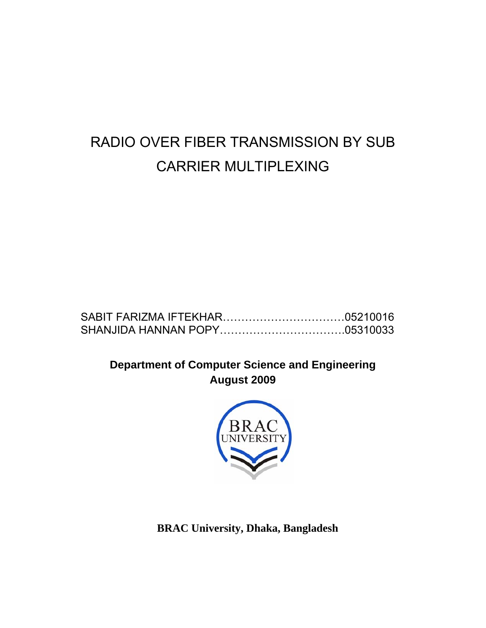# RADIO OVER FIBER TRANSMISSION BY SUB CARRIER MULTIPLEXING

**Department of Computer Science and Engineering August 2009** 



**BRAC University, Dhaka, Bangladesh**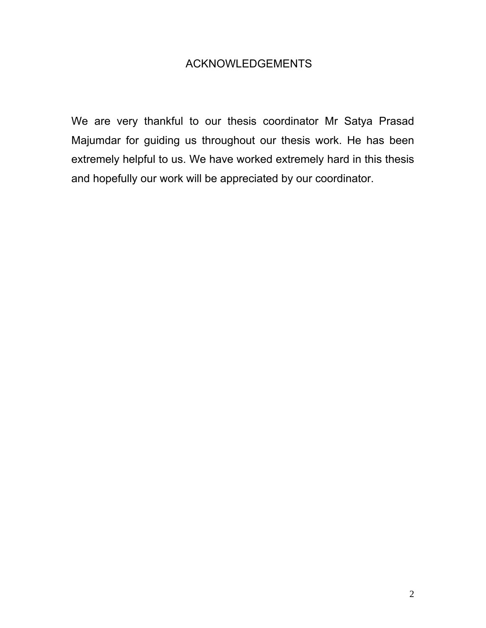#### ACKNOWLEDGEMENTS

We are very thankful to our thesis coordinator Mr Satya Prasad Majumdar for guiding us throughout our thesis work. He has been extremely helpful to us. We have worked extremely hard in this thesis and hopefully our work will be appreciated by our coordinator.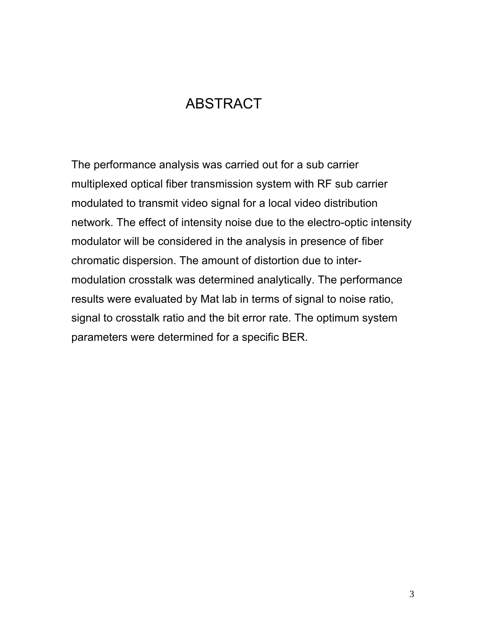# ABSTRACT

The performance analysis was carried out for a sub carrier multiplexed optical fiber transmission system with RF sub carrier modulated to transmit video signal for a local video distribution network. The effect of intensity noise due to the electro-optic intensity modulator will be considered in the analysis in presence of fiber chromatic dispersion. The amount of distortion due to intermodulation crosstalk was determined analytically. The performance results were evaluated by Mat lab in terms of signal to noise ratio, signal to crosstalk ratio and the bit error rate. The optimum system parameters were determined for a specific BER.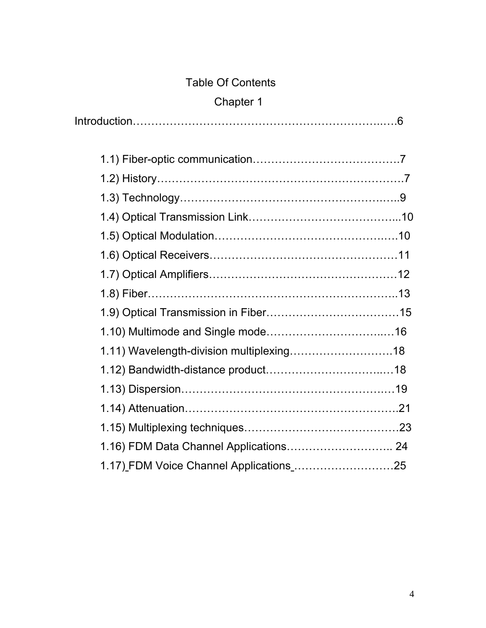# Table Of Contents

# Chapter 1

Introduction…………………………………………………………..….6

| 1.16) FDM Data Channel Applications 24 |  |
|----------------------------------------|--|
|                                        |  |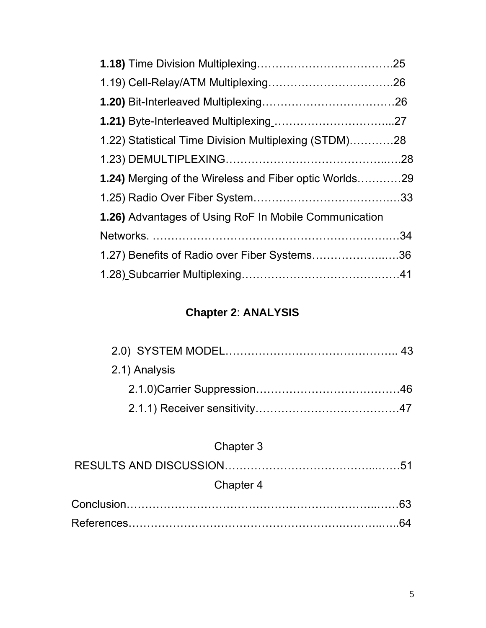| 1.22) Statistical Time Division Multiplexing (STDM)28         |  |
|---------------------------------------------------------------|--|
|                                                               |  |
| <b>1.24)</b> Merging of the Wireless and Fiber optic Worlds29 |  |
|                                                               |  |
| 1.26) Advantages of Using RoF In Mobile Communication         |  |
|                                                               |  |
| 1.27) Benefits of Radio over Fiber Systems36                  |  |
|                                                               |  |

# **Chapter 2**: **ANALYSIS**

| 2.1) Analysis |  |
|---------------|--|
|               |  |
|               |  |
|               |  |

# Chapter 3

| Chapter 4 |  |
|-----------|--|
|           |  |
|           |  |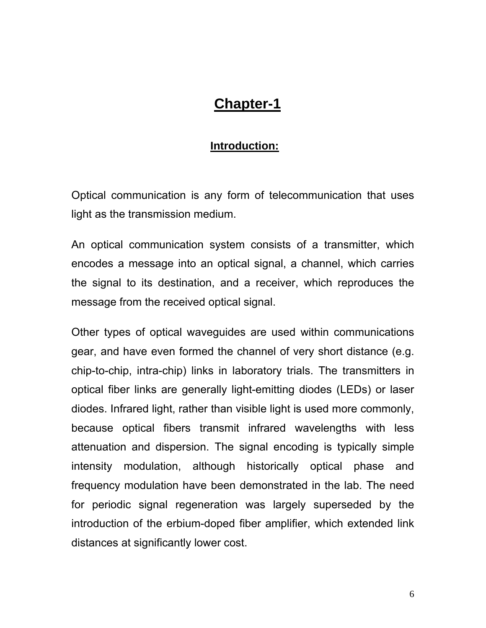# **Chapter-1**

#### **Introduction:**

Optical communication is any form of telecommunication that uses light as the transmission medium.

An optical communication system consists of a transmitter, which encodes a message into an optical signal, a channel, which carries the signal to its destination, and a receiver, which reproduces the message from the received optical signal.

Other types of optical waveguides are used within communications gear, and have even formed the channel of very short distance (e.g. chip-to-chip, intra-chip) links in laboratory trials. The transmitters in optical fiber links are generally light-emitting diodes (LEDs) or laser diodes. Infrared light, rather than visible light is used more commonly, because optical fibers transmit infrared wavelengths with less attenuation and dispersion. The signal encoding is typically simple intensity modulation, although historically optical phase and frequency modulation have been demonstrated in the lab. The need for periodic signal regeneration was largely superseded by the introduction of the erbium-doped fiber amplifier, which extended link distances at significantly lower cost.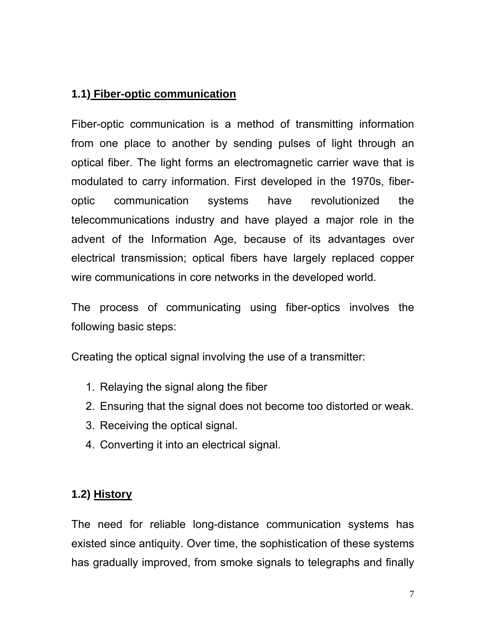## **1.1) Fiber-optic communication**

Fiber-optic communication is a method of transmitting information from one place to another by sending pulses of light through an optical fiber. The light forms an electromagnetic carrier wave that is modulated to carry information. First developed in the 1970s, fiberoptic communication systems have revolutionized the telecommunications industry and have played a major role in the advent of the Information Age, because of its advantages over electrical transmission; optical fibers have largely replaced copper wire communications in core networks in the developed world.

The process of communicating using fiber-optics involves the following basic steps:

Creating the optical signal involving the use of a transmitter:

- 1. Relaying the signal along the fiber
- 2. Ensuring that the signal does not become too distorted or weak.
- 3. Receiving the optical signal.
- 4. Converting it into an electrical signal.

## **1.2) History**

The need for reliable long-distance communication systems has existed since antiquity. Over time, the sophistication of these systems has gradually improved, from smoke signals to telegraphs and finally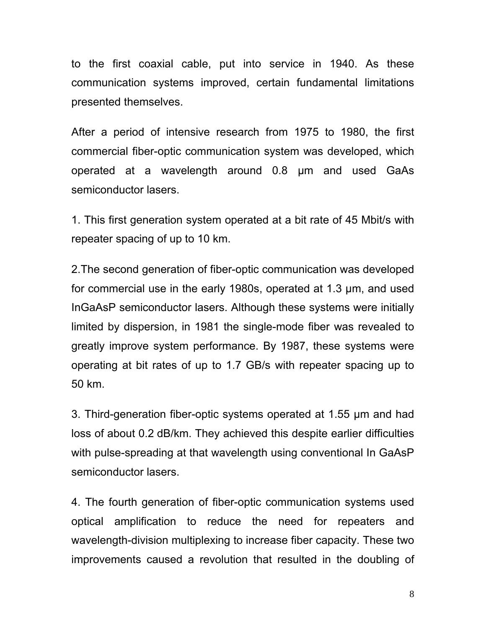to the first coaxial cable, put into service in 1940. As these communication systems improved, certain fundamental limitations presented themselves.

After a period of intensive research from 1975 to 1980, the first commercial fiber-optic communication system was developed, which operated at a wavelength around 0.8 µm and used GaAs semiconductor lasers.

1. This first generation system operated at a bit rate of 45 Mbit/s with repeater spacing of up to 10 km.

2.The second generation of fiber-optic communication was developed for commercial use in the early 1980s, operated at 1.3 µm, and used InGaAsP semiconductor lasers. Although these systems were initially limited by dispersion, in 1981 the single-mode fiber was revealed to greatly improve system performance. By 1987, these systems were operating at bit rates of up to 1.7 GB/s with repeater spacing up to 50 km.

3. Third-generation fiber-optic systems operated at 1.55 µm and had loss of about 0.2 dB/km. They achieved this despite earlier difficulties with pulse-spreading at that wavelength using conventional In GaAsP semiconductor lasers.

4. The fourth generation of fiber-optic communication systems used optical amplification to reduce the need for repeaters and wavelength-division multiplexing to increase fiber capacity. These two improvements caused a revolution that resulted in the doubling of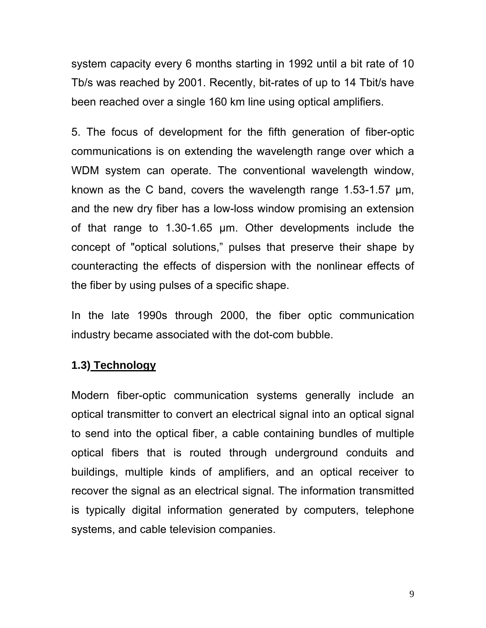system capacity every 6 months starting in 1992 until a bit rate of 10 Tb/s was reached by 2001. Recently, bit-rates of up to 14 Tbit/s have been reached over a single 160 km line using optical amplifiers.

5. The focus of development for the fifth generation of fiber-optic communications is on extending the wavelength range over which a WDM system can operate. The conventional wavelength window, known as the C band, covers the wavelength range 1.53-1.57 µm, and the new dry fiber has a low-loss window promising an extension of that range to 1.30-1.65 µm. Other developments include the concept of "optical solutions," pulses that preserve their shape by counteracting the effects of dispersion with the nonlinear effects of the fiber by using pulses of a specific shape.

In the late 1990s through 2000, the fiber optic communication industry became associated with the dot-com bubble.

### **1.3) Technology**

Modern fiber-optic communication systems generally include an optical transmitter to convert an electrical signal into an optical signal to send into the optical fiber, a cable containing bundles of multiple optical fibers that is routed through underground conduits and buildings, multiple kinds of amplifiers, and an optical receiver to recover the signal as an electrical signal. The information transmitted is typically digital information generated by computers, telephone systems, and cable television companies.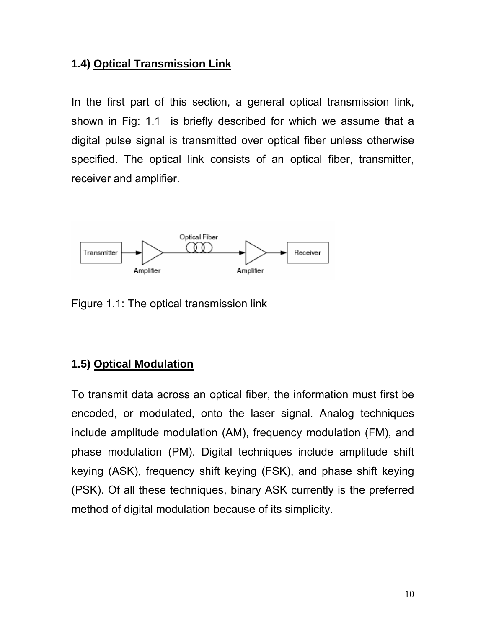#### **1.4) Optical Transmission Link**

In the first part of this section, a general optical transmission link, shown in Fig: 1.1 is briefly described for which we assume that a digital pulse signal is transmitted over optical fiber unless otherwise specified. The optical link consists of an optical fiber, transmitter, receiver and amplifier.



Figure 1.1: The optical transmission link

### **1.5) Optical Modulation**

To transmit data across an optical fiber, the information must first be encoded, or modulated, onto the laser signal. Analog techniques include amplitude modulation (AM), frequency modulation (FM), and phase modulation (PM). Digital techniques include amplitude shift keying (ASK), frequency shift keying (FSK), and phase shift keying (PSK). Of all these techniques, binary ASK currently is the preferred method of digital modulation because of its simplicity.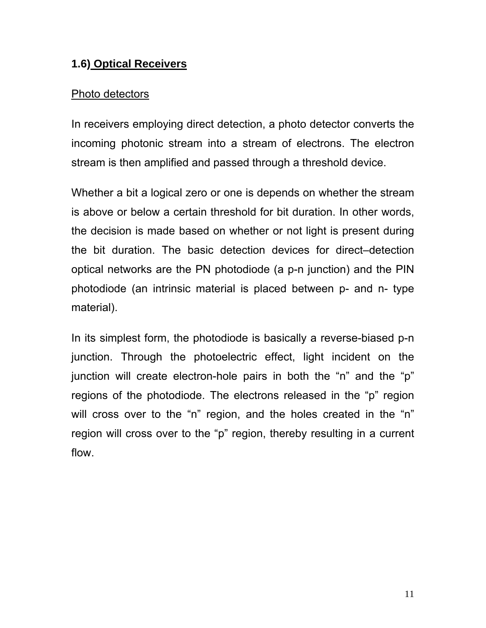#### **1.6) Optical Receivers**

#### Photo detectors

In receivers employing direct detection, a photo detector converts the incoming photonic stream into a stream of electrons. The electron stream is then amplified and passed through a threshold device.

Whether a bit a logical zero or one is depends on whether the stream is above or below a certain threshold for bit duration. In other words, the decision is made based on whether or not light is present during the bit duration. The basic detection devices for direct–detection optical networks are the PN photodiode (a p-n junction) and the PIN photodiode (an intrinsic material is placed between p- and n- type material).

In its simplest form, the photodiode is basically a reverse-biased p-n junction. Through the photoelectric effect, light incident on the junction will create electron-hole pairs in both the "n" and the "p" regions of the photodiode. The electrons released in the "p" region will cross over to the "n" region, and the holes created in the "n" region will cross over to the "p" region, thereby resulting in a current flow.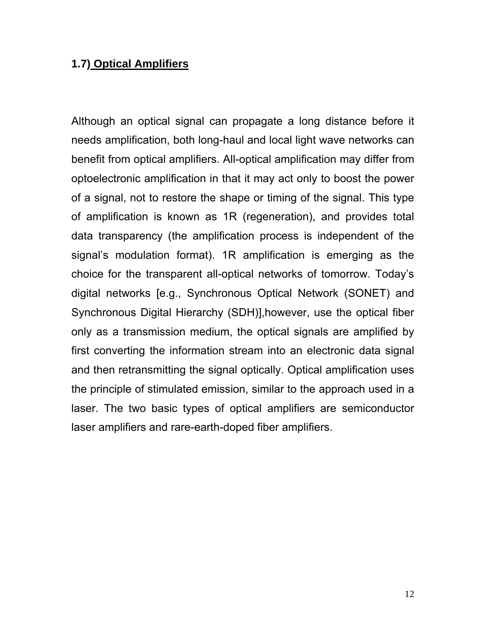#### **1.7) Optical Amplifiers**

Although an optical signal can propagate a long distance before it needs amplification, both long-haul and local light wave networks can benefit from optical amplifiers. All-optical amplification may differ from optoelectronic amplification in that it may act only to boost the power of a signal, not to restore the shape or timing of the signal. This type of amplification is known as 1R (regeneration), and provides total data transparency (the amplification process is independent of the signal's modulation format). 1R amplification is emerging as the choice for the transparent all-optical networks of tomorrow. Today's digital networks [e.g., Synchronous Optical Network (SONET) and Synchronous Digital Hierarchy (SDH)],however, use the optical fiber only as a transmission medium, the optical signals are amplified by first converting the information stream into an electronic data signal and then retransmitting the signal optically. Optical amplification uses the principle of stimulated emission, similar to the approach used in a laser. The two basic types of optical amplifiers are semiconductor laser amplifiers and rare-earth-doped fiber amplifiers.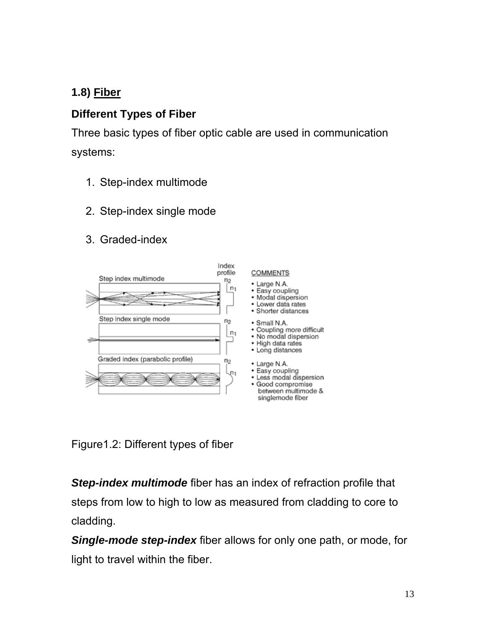# **1.8) Fiber**

## **Different Types of Fiber**

Three basic types of fiber optic cable are used in communication systems:

- 1. Step-index multimode
- 2. Step-index single mode
- 3. Graded-index



Figure1.2: Different types of fiber

*Step-index multimode* fiber has an index of refraction profile that steps from low to high to low as measured from cladding to core to cladding.

*Single-mode step-index* fiber allows for only one path, or mode, for light to travel within the fiber.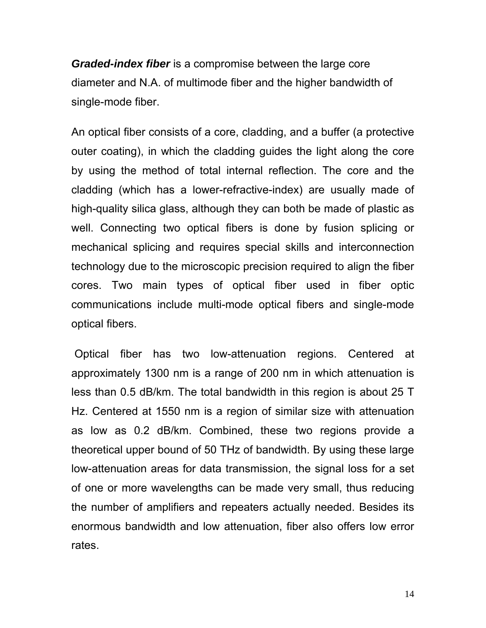*Graded-index fiber* is a compromise between the large core diameter and N.A. of multimode fiber and the higher bandwidth of single-mode fiber.

An optical fiber consists of a core, cladding, and a buffer (a protective outer coating), in which the cladding guides the light along the core by using the method of total internal reflection. The core and the cladding (which has a lower-refractive-index) are usually made of high-quality silica glass, although they can both be made of plastic as well. Connecting two optical fibers is done by fusion splicing or mechanical splicing and requires special skills and interconnection technology due to the microscopic precision required to align the fiber cores. Two main types of optical fiber used in fiber optic communications include multi-mode optical fibers and single-mode optical fibers.

Optical fiber has two low-attenuation regions. Centered at approximately 1300 nm is a range of 200 nm in which attenuation is less than 0.5 dB/km. The total bandwidth in this region is about 25 T Hz. Centered at 1550 nm is a region of similar size with attenuation as low as 0.2 dB/km. Combined, these two regions provide a theoretical upper bound of 50 THz of bandwidth. By using these large low-attenuation areas for data transmission, the signal loss for a set of one or more wavelengths can be made very small, thus reducing the number of amplifiers and repeaters actually needed. Besides its enormous bandwidth and low attenuation, fiber also offers low error rates.

14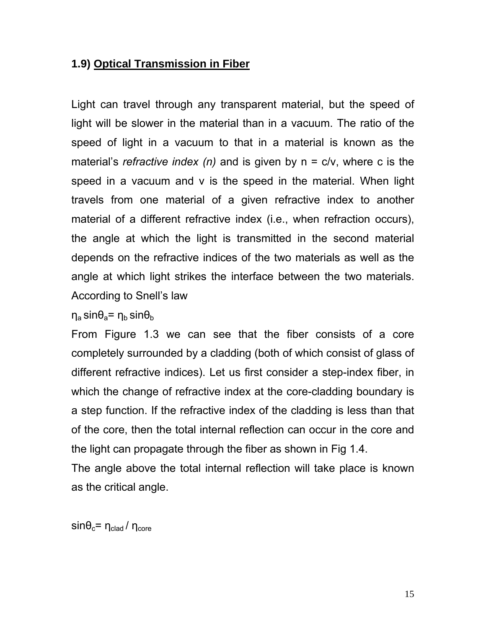#### **1.9) Optical Transmission in Fiber**

Light can travel through any transparent material, but the speed of light will be slower in the material than in a vacuum. The ratio of the speed of light in a vacuum to that in a material is known as the material's *refractive index (n)* and is given by n = c/v, where c is the speed in a vacuum and v is the speed in the material. When light travels from one material of a given refractive index to another material of a different refractive index (i.e., when refraction occurs), the angle at which the light is transmitted in the second material depends on the refractive indices of the two materials as well as the angle at which light strikes the interface between the two materials. According to Snell's law

 $η_a$  sin $θ_a$ =  $η_b$  sin $θ_b$ 

From Figure 1.3 we can see that the fiber consists of a core completely surrounded by a cladding (both of which consist of glass of different refractive indices). Let us first consider a step-index fiber, in which the change of refractive index at the core-cladding boundary is a step function. If the refractive index of the cladding is less than that of the core, then the total internal reflection can occur in the core and the light can propagate through the fiber as shown in Fig 1.4.

The angle above the total internal reflection will take place is known as the critical angle.

 $\sin\theta_c = \eta_{\text{clad}} / \eta_{\text{core}}$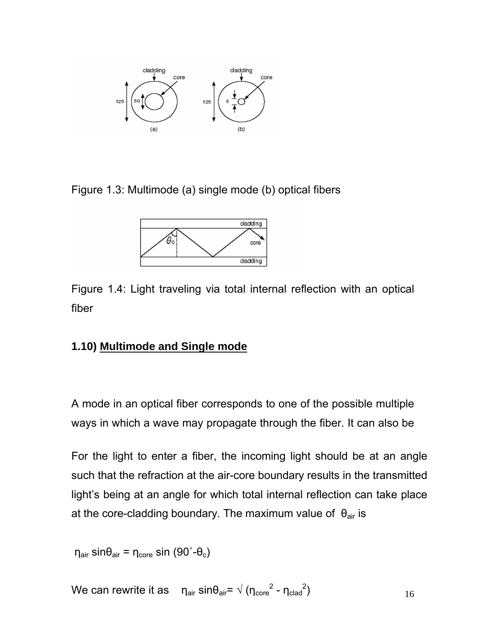

Figure 1.3: Multimode (a) single mode (b) optical fibers



Figure 1.4: Light traveling via total internal reflection with an optical fiber

### **1.10) Multimode and Single mode**

A mode in an optical fiber corresponds to one of the possible multiple ways in which a wave may propagate through the fiber. It can also be

For the light to enter a fiber, the incoming light should be at an angle such that the refraction at the air-core boundary results in the transmitted light's being at an angle for which total internal reflection can take place at the core-cladding boundary. The maximum value of  $\theta_{air}$  is

 $η<sub>air</sub> sinθ<sub>air</sub> = η<sub>core</sub> sin (90°-θ<sub>c</sub>)$ 

16 We can rewrite it as  $n_{\text{air}} \sin \theta_{\text{air}} = \sqrt{(n_{\text{core}}^2 - n_{\text{clad}}^2)}$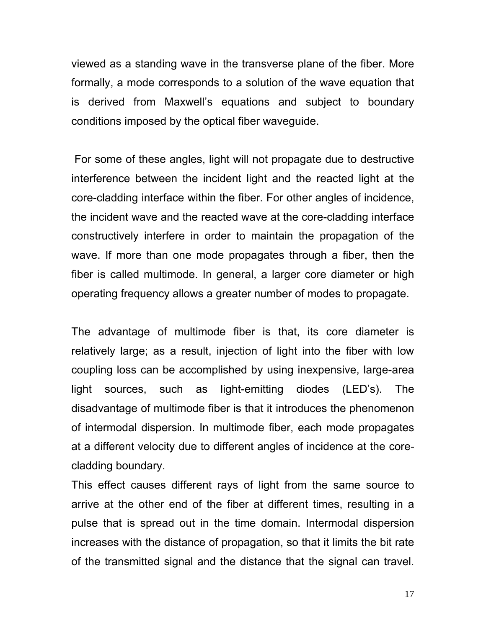viewed as a standing wave in the transverse plane of the fiber. More formally, a mode corresponds to a solution of the wave equation that is derived from Maxwell's equations and subject to boundary conditions imposed by the optical fiber waveguide.

 For some of these angles, light will not propagate due to destructive interference between the incident light and the reacted light at the core-cladding interface within the fiber. For other angles of incidence, the incident wave and the reacted wave at the core-cladding interface constructively interfere in order to maintain the propagation of the wave. If more than one mode propagates through a fiber, then the fiber is called multimode. In general, a larger core diameter or high operating frequency allows a greater number of modes to propagate.

The advantage of multimode fiber is that, its core diameter is relatively large; as a result, injection of light into the fiber with low coupling loss can be accomplished by using inexpensive, large-area light sources, such as light-emitting diodes (LED's). The disadvantage of multimode fiber is that it introduces the phenomenon of intermodal dispersion. In multimode fiber, each mode propagates at a different velocity due to different angles of incidence at the corecladding boundary.

This effect causes different rays of light from the same source to arrive at the other end of the fiber at different times, resulting in a pulse that is spread out in the time domain. Intermodal dispersion increases with the distance of propagation, so that it limits the bit rate of the transmitted signal and the distance that the signal can travel.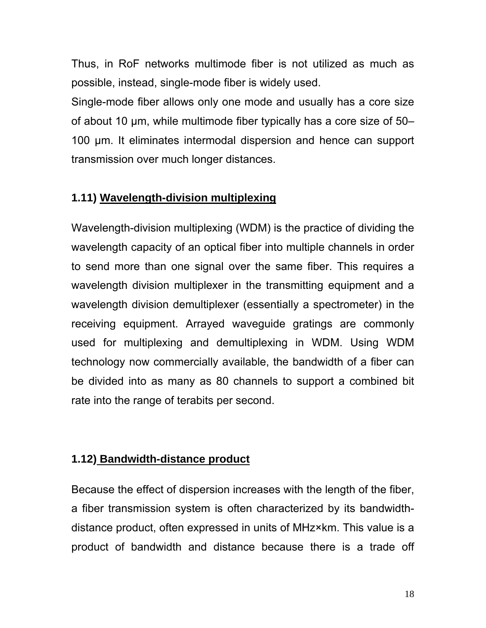Thus, in RoF networks multimode fiber is not utilized as much as possible, instead, single-mode fiber is widely used.

Single-mode fiber allows only one mode and usually has a core size of about 10 µm, while multimode fiber typically has a core size of 50– 100 µm. It eliminates intermodal dispersion and hence can support transmission over much longer distances.

### **1.11) Wavelength-division multiplexing**

Wavelength-division multiplexing (WDM) is the practice of dividing the wavelength capacity of an optical fiber into multiple channels in order to send more than one signal over the same fiber. This requires a wavelength division multiplexer in the transmitting equipment and a wavelength division demultiplexer (essentially a spectrometer) in the receiving equipment. Arrayed waveguide gratings are commonly used for multiplexing and demultiplexing in WDM. Using WDM technology now commercially available, the bandwidth of a fiber can be divided into as many as 80 channels to support a combined bit rate into the range of terabits per second.

### **1.12) Bandwidth-distance product**

Because the effect of dispersion increases with the length of the fiber, a fiber transmission system is often characterized by its bandwidthdistance product, often expressed in units of MHz×km. This value is a product of bandwidth and distance because there is a trade off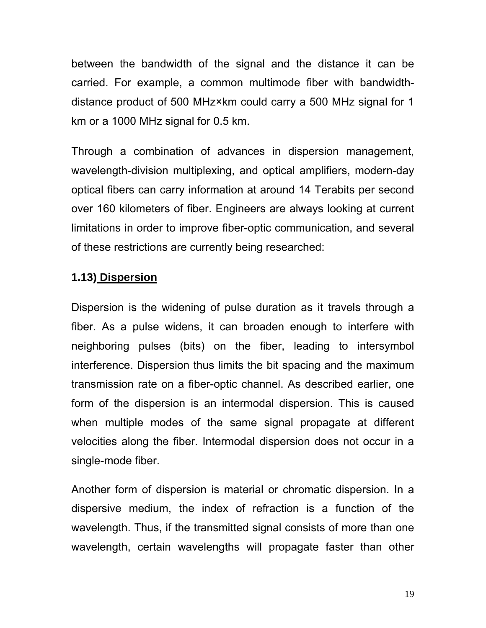between the bandwidth of the signal and the distance it can be carried. For example, a common multimode fiber with bandwidthdistance product of 500 MHz×km could carry a 500 MHz signal for 1 km or a 1000 MHz signal for 0.5 km.

Through a combination of advances in dispersion management, wavelength-division multiplexing, and optical amplifiers, modern-day optical fibers can carry information at around 14 Terabits per second over 160 kilometers of fiber. Engineers are always looking at current limitations in order to improve fiber-optic communication, and several of these restrictions are currently being researched:

#### **1.13) Dispersion**

Dispersion is the widening of pulse duration as it travels through a fiber. As a pulse widens, it can broaden enough to interfere with neighboring pulses (bits) on the fiber, leading to intersymbol interference. Dispersion thus limits the bit spacing and the maximum transmission rate on a fiber-optic channel. As described earlier, one form of the dispersion is an intermodal dispersion. This is caused when multiple modes of the same signal propagate at different velocities along the fiber. Intermodal dispersion does not occur in a single-mode fiber.

Another form of dispersion is material or chromatic dispersion. In a dispersive medium, the index of refraction is a function of the wavelength. Thus, if the transmitted signal consists of more than one wavelength, certain wavelengths will propagate faster than other

19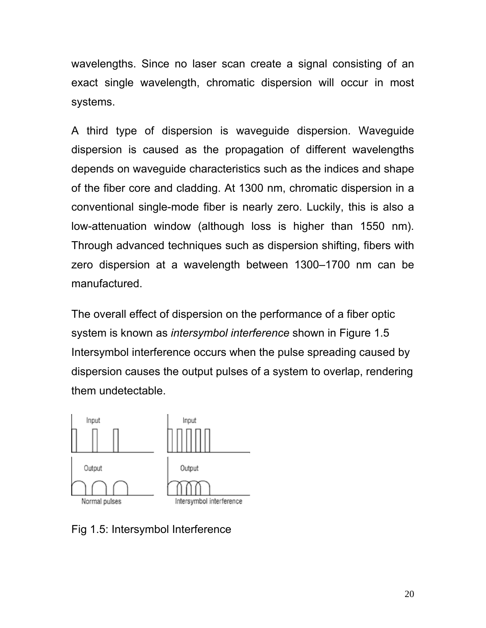wavelengths. Since no laser scan create a signal consisting of an exact single wavelength, chromatic dispersion will occur in most systems.

A third type of dispersion is waveguide dispersion. Waveguide dispersion is caused as the propagation of different wavelengths depends on waveguide characteristics such as the indices and shape of the fiber core and cladding. At 1300 nm, chromatic dispersion in a conventional single-mode fiber is nearly zero. Luckily, this is also a low-attenuation window (although loss is higher than 1550 nm). Through advanced techniques such as dispersion shifting, fibers with zero dispersion at a wavelength between 1300–1700 nm can be manufactured.

The overall effect of dispersion on the performance of a fiber optic system is known as *intersymbol interference* shown in Figure 1.5 Intersymbol interference occurs when the pulse spreading caused by dispersion causes the output pulses of a system to overlap, rendering them undetectable.



Fig 1.5: Intersymbol Interference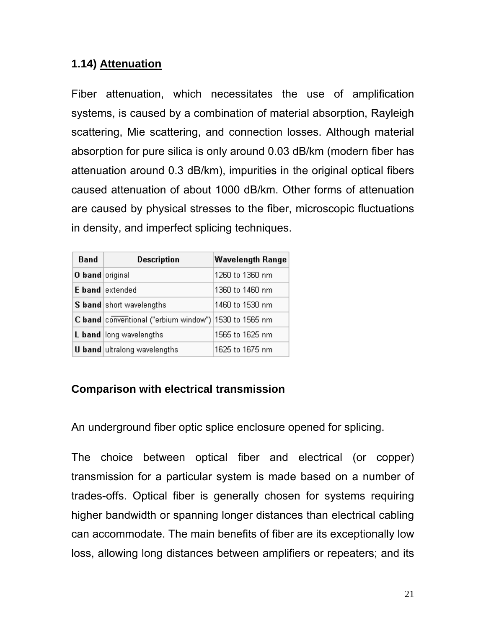#### **1.14) Attenuation**

Fiber attenuation, which necessitates the use of amplification systems, is caused by a combination of material absorption, Rayleigh scattering, Mie scattering, and connection losses. Although material absorption for pure silica is only around 0.03 dB/km (modern fiber has attenuation around 0.3 dB/km), impurities in the original optical fibers caused attenuation of about 1000 dB/km. Other forms of attenuation are caused by physical stresses to the fiber, microscopic fluctuations in density, and imperfect splicing techniques.

| Band            | <b>Description</b>                                    | <b>Wavelength Range</b> |
|-----------------|-------------------------------------------------------|-------------------------|
| O band original |                                                       | 1260 to 1360 nm         |
|                 | E band extended                                       | 1360 to 1460 nm         |
|                 | S band short wavelengths                              | 1460 to 1530 nm.        |
|                 | C band conventional ("erbium window") 1530 to 1565 nm |                         |
|                 | L band long wavelengths                               | 1565 to 1625 nm         |
|                 | <b>U band</b> ultralong wavelengths                   | 1625 to 1675 nm         |

## **Comparison with electrical transmission**

An underground fiber optic splice enclosure opened for splicing.

The choice between optical fiber and electrical (or copper) transmission for a particular system is made based on a number of trades-offs. Optical fiber is generally chosen for systems requiring higher bandwidth or spanning longer distances than electrical cabling can accommodate. The main benefits of fiber are its exceptionally low loss, allowing long distances between amplifiers or repeaters; and its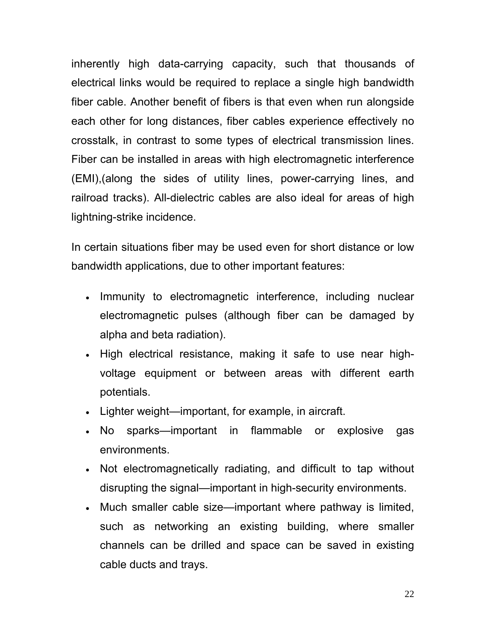inherently high data-carrying capacity, such that thousands of electrical links would be required to replace a single high bandwidth fiber cable. Another benefit of fibers is that even when run alongside each other for long distances, fiber cables experience effectively no crosstalk, in contrast to some types of electrical transmission lines. Fiber can be installed in areas with high electromagnetic interference (EMI),(along the sides of utility lines, power-carrying lines, and railroad tracks). All-dielectric cables are also ideal for areas of high lightning-strike incidence.

In certain situations fiber may be used even for short distance or low bandwidth applications, due to other important features:

- Immunity to electromagnetic interference, including nuclear electromagnetic pulses (although fiber can be damaged by alpha and beta radiation).
- High electrical resistance, making it safe to use near highvoltage equipment or between areas with different earth potentials.
- Lighter weight—important, for example, in aircraft.
- No sparks—important in flammable or explosive gas environments.
- Not electromagnetically radiating, and difficult to tap without disrupting the signal—important in high-security environments.
- Much smaller cable size—important where pathway is limited, such as networking an existing building, where smaller channels can be drilled and space can be saved in existing cable ducts and trays.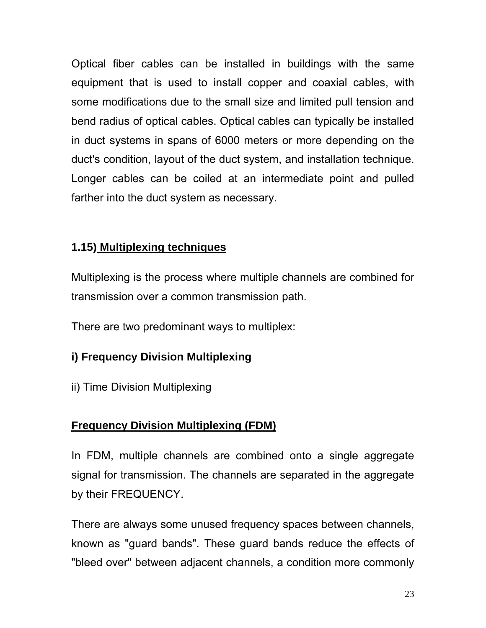Optical fiber cables can be installed in buildings with the same equipment that is used to install copper and coaxial cables, with some modifications due to the small size and limited pull tension and bend radius of optical cables. Optical cables can typically be installed in duct systems in spans of 6000 meters or more depending on the duct's condition, layout of the duct system, and installation technique. Longer cables can be coiled at an intermediate point and pulled farther into the duct system as necessary.

### **1.15) Multiplexing techniques**

Multiplexing is the process where multiple channels are combined for transmission over a common transmission path.

There are two predominant ways to multiplex:

# **i) Frequency Division Multiplexing**

ii) Time Division Multiplexing

# **Frequency Division Multiplexing (FDM)**

In FDM, multiple channels are combined onto a single aggregate signal for transmission. The channels are separated in the aggregate by their FREQUENCY.

There are always some unused frequency spaces between channels, known as "guard bands". These guard bands reduce the effects of "bleed over" between adjacent channels, a condition more commonly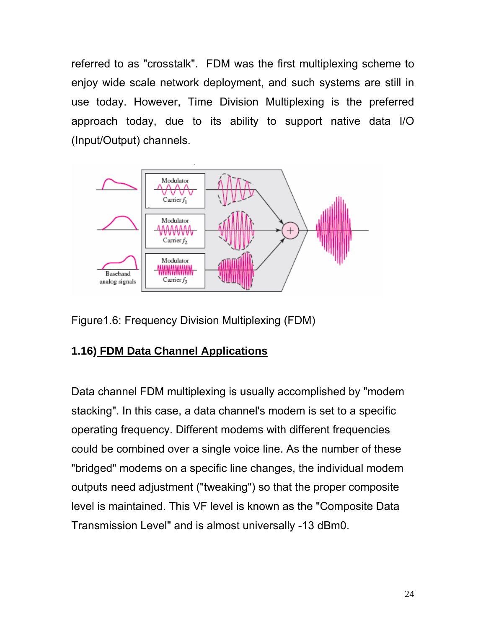referred to as "crosstalk". FDM was the first multiplexing scheme to enjoy wide scale network deployment, and such systems are still in use today. However, Time Division Multiplexing is the preferred approach today, due to its ability to support native data I/O (Input/Output) channels.



Figure1.6: Frequency Division Multiplexing (FDM)

## **1.16) FDM Data Channel Applications**

Data channel FDM multiplexing is usually accomplished by "modem stacking". In this case, a data channel's modem is set to a specific operating frequency. Different modems with different frequencies could be combined over a single voice line. As the number of these "bridged" modems on a specific line changes, the individual modem outputs need adjustment ("tweaking") so that the proper composite level is maintained. This VF level is known as the "Composite Data Transmission Level" and is almost universally -13 dBm0.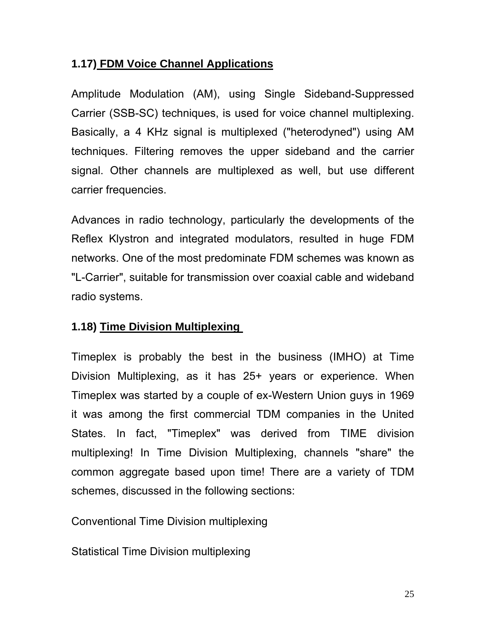### **1.17) FDM Voice Channel Applications**

Amplitude Modulation (AM), using Single Sideband-Suppressed Carrier (SSB-SC) techniques, is used for voice channel multiplexing. Basically, a 4 KHz signal is multiplexed ("heterodyned") using AM techniques. Filtering removes the upper sideband and the carrier signal. Other channels are multiplexed as well, but use different carrier frequencies.

Advances in radio technology, particularly the developments of the Reflex Klystron and integrated modulators, resulted in huge FDM networks. One of the most predominate FDM schemes was known as "L-Carrier", suitable for transmission over coaxial cable and wideband radio systems.

### **1.18) Time Division Multiplexing**

Timeplex is probably the best in the business (IMHO) at Time Division Multiplexing, as it has 25+ years or experience. When Timeplex was started by a couple of ex-Western Union guys in 1969 it was among the first commercial TDM companies in the United States. In fact, "Timeplex" was derived from TIME division multiplexing! In Time Division Multiplexing, channels "share" the common aggregate based upon time! There are a variety of TDM schemes, discussed in the following sections:

Conventional Time Division multiplexing

Statistical Time Division multiplexing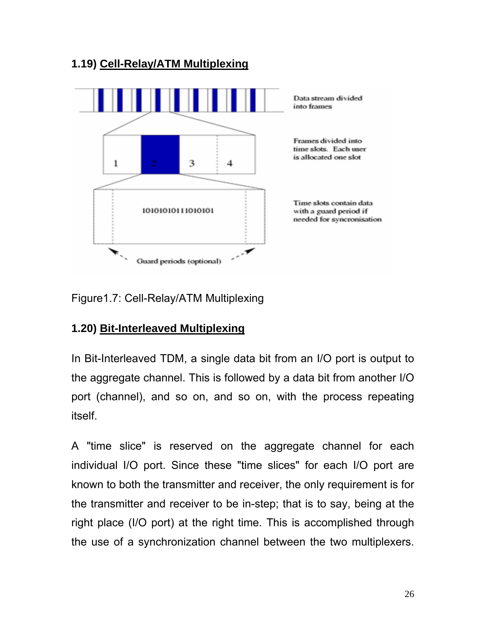## **1.19) Cell-Relay/ATM Multiplexing**



Figure1.7: Cell-Relay/ATM Multiplexing

### **1.20) Bit-Interleaved Multiplexing**

In Bit-Interleaved TDM, a single data bit from an I/O port is output to the aggregate channel. This is followed by a data bit from another I/O port (channel), and so on, and so on, with the process repeating itself.

A "time slice" is reserved on the aggregate channel for each individual I/O port. Since these "time slices" for each I/O port are known to both the transmitter and receiver, the only requirement is for the transmitter and receiver to be in-step; that is to say, being at the right place (I/O port) at the right time. This is accomplished through the use of a synchronization channel between the two multiplexers.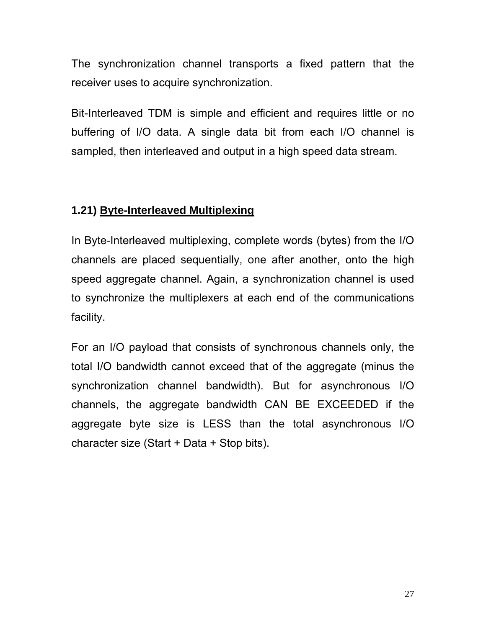The synchronization channel transports a fixed pattern that the receiver uses to acquire synchronization.

Bit-Interleaved TDM is simple and efficient and requires little or no buffering of I/O data. A single data bit from each I/O channel is sampled, then interleaved and output in a high speed data stream.

### **1.21) Byte-Interleaved Multiplexing**

In Byte-Interleaved multiplexing, complete words (bytes) from the I/O channels are placed sequentially, one after another, onto the high speed aggregate channel. Again, a synchronization channel is used to synchronize the multiplexers at each end of the communications facility.

For an I/O payload that consists of synchronous channels only, the total I/O bandwidth cannot exceed that of the aggregate (minus the synchronization channel bandwidth). But for asynchronous I/O channels, the aggregate bandwidth CAN BE EXCEEDED if the aggregate byte size is LESS than the total asynchronous I/O character size (Start + Data + Stop bits).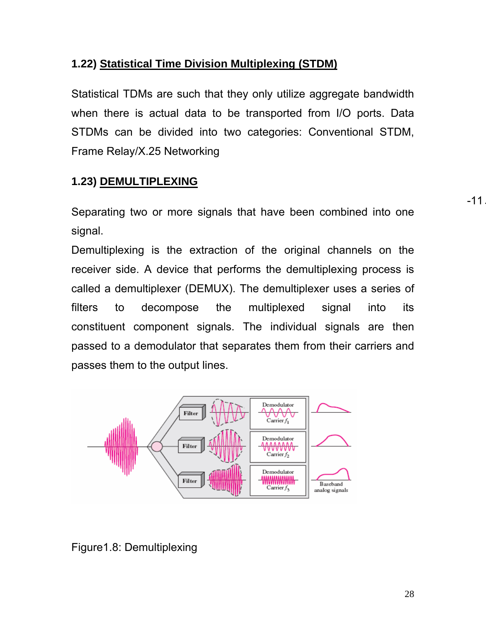### **1.22) Statistical Time Division Multiplexing (STDM)**

Statistical TDMs are such that they only utilize aggregate bandwidth when there is actual data to be transported from I/O ports. Data STDMs can be divided into two categories: Conventional STDM, Frame Relay/X.25 Networking

## **1.23) DEMULTIPLEXING**

Separating two or more signals that have been combined into one signal.

Demultiplexing is the extraction of the original channels on the receiver side. A device that performs the demultiplexing process is called a demultiplexer (DEMUX). The demultiplexer uses a series of filters to decompose the multiplexed signal into its constituent component signals. The individual signals are then passed to a demodulator that separates them from their carriers and passes them to the output lines.



#### Figure1.8: Demultiplexing

-11.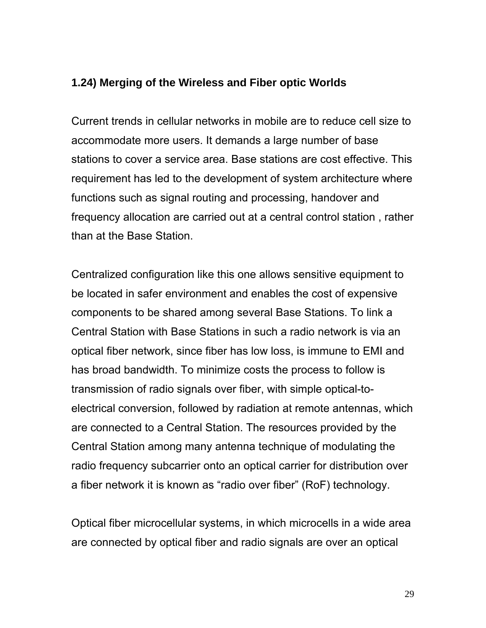#### **1.24) Merging of the Wireless and Fiber optic Worlds**

Current trends in cellular networks in mobile are to reduce cell size to accommodate more users. It demands a large number of base stations to cover a service area. Base stations are cost effective. This requirement has led to the development of system architecture where functions such as signal routing and processing, handover and frequency allocation are carried out at a central control station , rather than at the Base Station.

Centralized configuration like this one allows sensitive equipment to be located in safer environment and enables the cost of expensive components to be shared among several Base Stations. To link a Central Station with Base Stations in such a radio network is via an optical fiber network, since fiber has low loss, is immune to EMI and has broad bandwidth. To minimize costs the process to follow is transmission of radio signals over fiber, with simple optical-toelectrical conversion, followed by radiation at remote antennas, which are connected to a Central Station. The resources provided by the Central Station among many antenna technique of modulating the radio frequency subcarrier onto an optical carrier for distribution over a fiber network it is known as "radio over fiber" (RoF) technology.

Optical fiber microcellular systems, in which microcells in a wide area are connected by optical fiber and radio signals are over an optical

29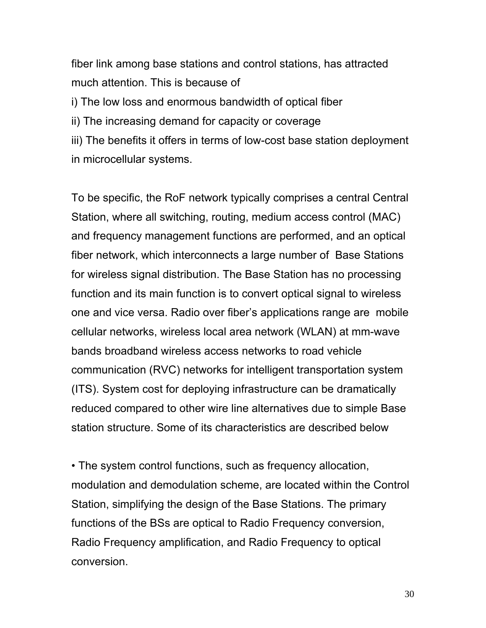fiber link among base stations and control stations, has attracted much attention. This is because of i) The low loss and enormous bandwidth of optical fiber ii) The increasing demand for capacity or coverage iii) The benefits it offers in terms of low-cost base station deployment in microcellular systems.

To be specific, the RoF network typically comprises a central Central Station, where all switching, routing, medium access control (MAC) and frequency management functions are performed, and an optical fiber network, which interconnects a large number of Base Stations for wireless signal distribution. The Base Station has no processing function and its main function is to convert optical signal to wireless one and vice versa. Radio over fiber's applications range are mobile cellular networks, wireless local area network (WLAN) at mm-wave bands broadband wireless access networks to road vehicle communication (RVC) networks for intelligent transportation system (ITS). System cost for deploying infrastructure can be dramatically reduced compared to other wire line alternatives due to simple Base station structure. Some of its characteristics are described below

• The system control functions, such as frequency allocation, modulation and demodulation scheme, are located within the Control Station, simplifying the design of the Base Stations. The primary functions of the BSs are optical to Radio Frequency conversion, Radio Frequency amplification, and Radio Frequency to optical conversion.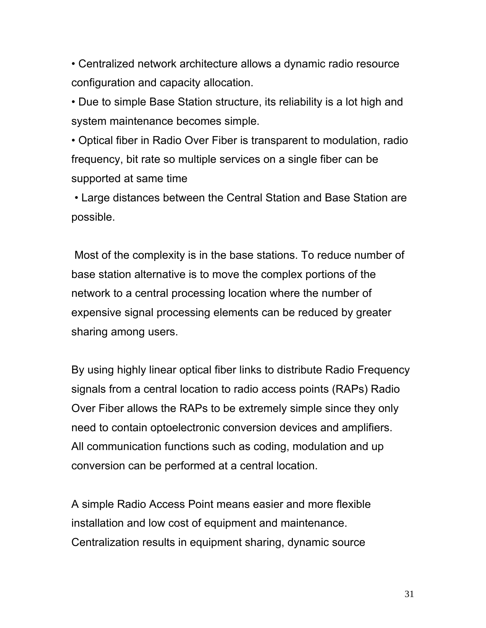• Centralized network architecture allows a dynamic radio resource configuration and capacity allocation.

• Due to simple Base Station structure, its reliability is a lot high and system maintenance becomes simple.

• Optical fiber in Radio Over Fiber is transparent to modulation, radio frequency, bit rate so multiple services on a single fiber can be supported at same time

 • Large distances between the Central Station and Base Station are possible.

 Most of the complexity is in the base stations. To reduce number of base station alternative is to move the complex portions of the network to a central processing location where the number of expensive signal processing elements can be reduced by greater sharing among users.

By using highly linear optical fiber links to distribute Radio Frequency signals from a central location to radio access points (RAPs) Radio Over Fiber allows the RAPs to be extremely simple since they only need to contain optoelectronic conversion devices and amplifiers. All communication functions such as coding, modulation and up conversion can be performed at a central location.

A simple Radio Access Point means easier and more flexible installation and low cost of equipment and maintenance. Centralization results in equipment sharing, dynamic source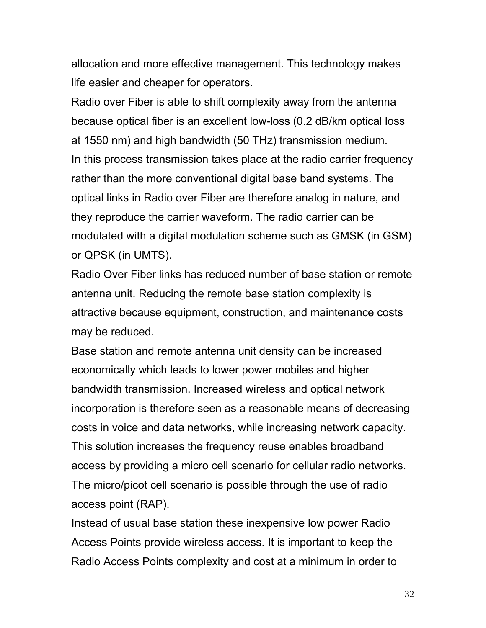allocation and more effective management. This technology makes life easier and cheaper for operators.

Radio over Fiber is able to shift complexity away from the antenna because optical fiber is an excellent low-loss (0.2 dB/km optical loss at 1550 nm) and high bandwidth (50 THz) transmission medium. In this process transmission takes place at the radio carrier frequency rather than the more conventional digital base band systems. The optical links in Radio over Fiber are therefore analog in nature, and they reproduce the carrier waveform. The radio carrier can be modulated with a digital modulation scheme such as GMSK (in GSM) or QPSK (in UMTS).

Radio Over Fiber links has reduced number of base station or remote antenna unit. Reducing the remote base station complexity is attractive because equipment, construction, and maintenance costs may be reduced.

Base station and remote antenna unit density can be increased economically which leads to lower power mobiles and higher bandwidth transmission. Increased wireless and optical network incorporation is therefore seen as a reasonable means of decreasing costs in voice and data networks, while increasing network capacity. This solution increases the frequency reuse enables broadband access by providing a micro cell scenario for cellular radio networks. The micro/picot cell scenario is possible through the use of radio access point (RAP).

Instead of usual base station these inexpensive low power Radio Access Points provide wireless access. It is important to keep the Radio Access Points complexity and cost at a minimum in order to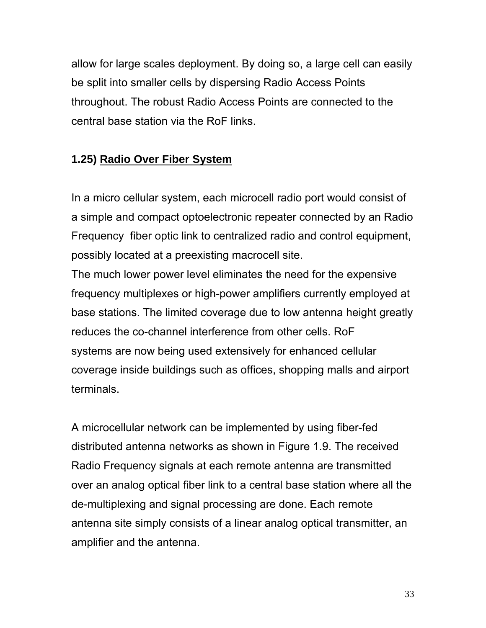allow for large scales deployment. By doing so, a large cell can easily be split into smaller cells by dispersing Radio Access Points throughout. The robust Radio Access Points are connected to the central base station via the RoF links.

## **1.25) Radio Over Fiber System**

In a micro cellular system, each microcell radio port would consist of a simple and compact optoelectronic repeater connected by an Radio Frequency fiber optic link to centralized radio and control equipment, possibly located at a preexisting macrocell site.

The much lower power level eliminates the need for the expensive frequency multiplexes or high-power amplifiers currently employed at base stations. The limited coverage due to low antenna height greatly reduces the co-channel interference from other cells. RoF systems are now being used extensively for enhanced cellular coverage inside buildings such as offices, shopping malls and airport terminals.

A microcellular network can be implemented by using fiber-fed distributed antenna networks as shown in Figure 1.9. The received Radio Frequency signals at each remote antenna are transmitted over an analog optical fiber link to a central base station where all the de-multiplexing and signal processing are done. Each remote antenna site simply consists of a linear analog optical transmitter, an amplifier and the antenna.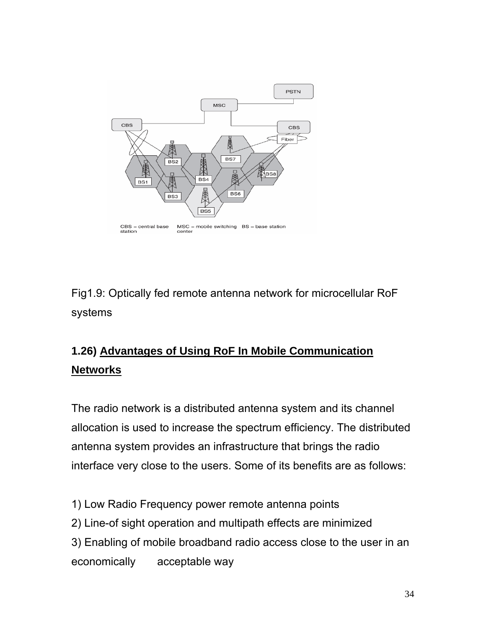

Fig1.9: Optically fed remote antenna network for microcellular RoF systems

# **1.26) Advantages of Using RoF In Mobile Communication Networks**

The radio network is a distributed antenna system and its channel allocation is used to increase the spectrum efficiency. The distributed antenna system provides an infrastructure that brings the radio interface very close to the users. Some of its benefits are as follows:

- 1) Low Radio Frequency power remote antenna points
- 2) Line-of sight operation and multipath effects are minimized
- 3) Enabling of mobile broadband radio access close to the user in an economically acceptable way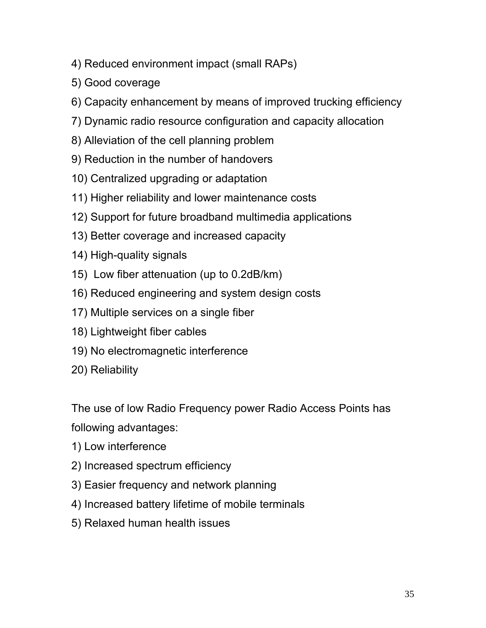- 4) Reduced environment impact (small RAPs)
- 5) Good coverage
- 6) Capacity enhancement by means of improved trucking efficiency
- 7) Dynamic radio resource configuration and capacity allocation
- 8) Alleviation of the cell planning problem
- 9) Reduction in the number of handovers
- 10) Centralized upgrading or adaptation
- 11) Higher reliability and lower maintenance costs
- 12) Support for future broadband multimedia applications
- 13) Better coverage and increased capacity
- 14) High-quality signals
- 15) Low fiber attenuation (up to 0.2dB/km)
- 16) Reduced engineering and system design costs
- 17) Multiple services on a single fiber
- 18) Lightweight fiber cables
- 19) No electromagnetic interference
- 20) Reliability

The use of low Radio Frequency power Radio Access Points has following advantages:

- 1) Low interference
- 2) Increased spectrum efficiency
- 3) Easier frequency and network planning
- 4) Increased battery lifetime of mobile terminals
- 5) Relaxed human health issues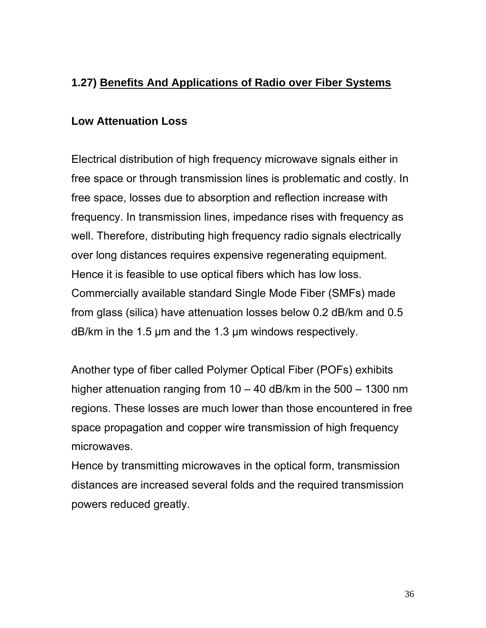### **1.27) Benefits And Applications of Radio over Fiber Systems**

#### **Low Attenuation Loss**

Electrical distribution of high frequency microwave signals either in free space or through transmission lines is problematic and costly. In free space, losses due to absorption and reflection increase with frequency. In transmission lines, impedance rises with frequency as well. Therefore, distributing high frequency radio signals electrically over long distances requires expensive regenerating equipment. Hence it is feasible to use optical fibers which has low loss. Commercially available standard Single Mode Fiber (SMFs) made from glass (silica) have attenuation losses below 0.2 dB/km and 0.5 dB/km in the 1.5 µm and the 1.3 µm windows respectively.

Another type of fiber called Polymer Optical Fiber (POFs) exhibits higher attenuation ranging from 10 – 40 dB/km in the 500 – 1300 nm regions. These losses are much lower than those encountered in free space propagation and copper wire transmission of high frequency microwaves.

Hence by transmitting microwaves in the optical form, transmission distances are increased several folds and the required transmission powers reduced greatly.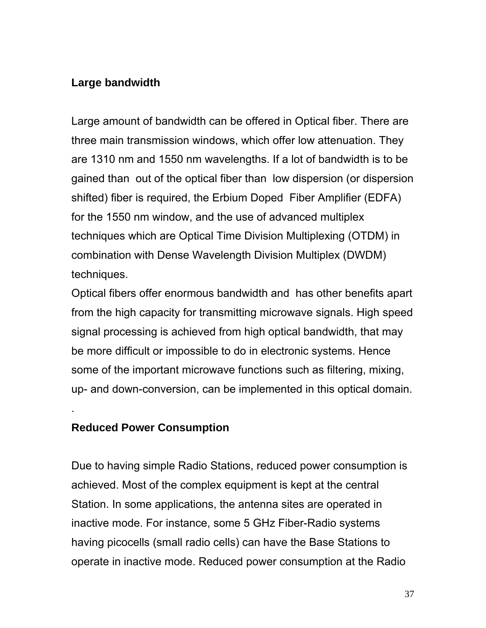#### **Large bandwidth**

Large amount of bandwidth can be offered in Optical fiber. There are three main transmission windows, which offer low attenuation. They are 1310 nm and 1550 nm wavelengths. If a lot of bandwidth is to be gained than out of the optical fiber than low dispersion (or dispersion shifted) fiber is required, the Erbium Doped Fiber Amplifier (EDFA) for the 1550 nm window, and the use of advanced multiplex techniques which are Optical Time Division Multiplexing (OTDM) in combination with Dense Wavelength Division Multiplex (DWDM) techniques.

Optical fibers offer enormous bandwidth and has other benefits apart from the high capacity for transmitting microwave signals. High speed signal processing is achieved from high optical bandwidth, that may be more difficult or impossible to do in electronic systems. Hence some of the important microwave functions such as filtering, mixing, up- and down-conversion, can be implemented in this optical domain.

#### **Reduced Power Consumption**

.

Due to having simple Radio Stations, reduced power consumption is achieved. Most of the complex equipment is kept at the central Station. In some applications, the antenna sites are operated in inactive mode. For instance, some 5 GHz Fiber-Radio systems having picocells (small radio cells) can have the Base Stations to operate in inactive mode. Reduced power consumption at the Radio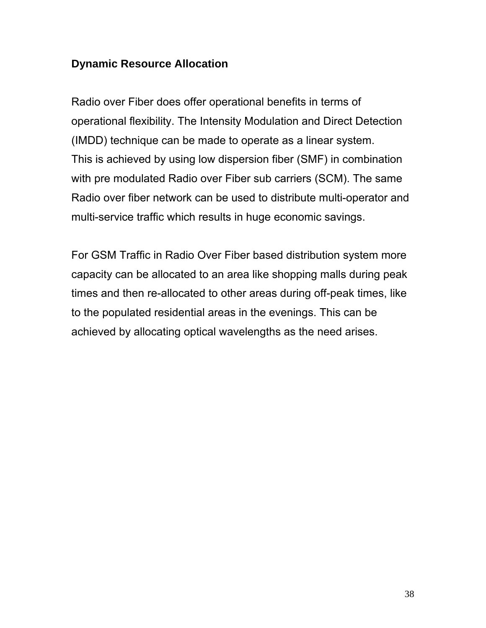#### **Dynamic Resource Allocation**

Radio over Fiber does offer operational benefits in terms of operational flexibility. The Intensity Modulation and Direct Detection (IMDD) technique can be made to operate as a linear system. This is achieved by using low dispersion fiber (SMF) in combination with pre modulated Radio over Fiber sub carriers (SCM). The same Radio over fiber network can be used to distribute multi-operator and multi-service traffic which results in huge economic savings.

For GSM Traffic in Radio Over Fiber based distribution system more capacity can be allocated to an area like shopping malls during peak times and then re-allocated to other areas during off-peak times, like to the populated residential areas in the evenings. This can be achieved by allocating optical wavelengths as the need arises.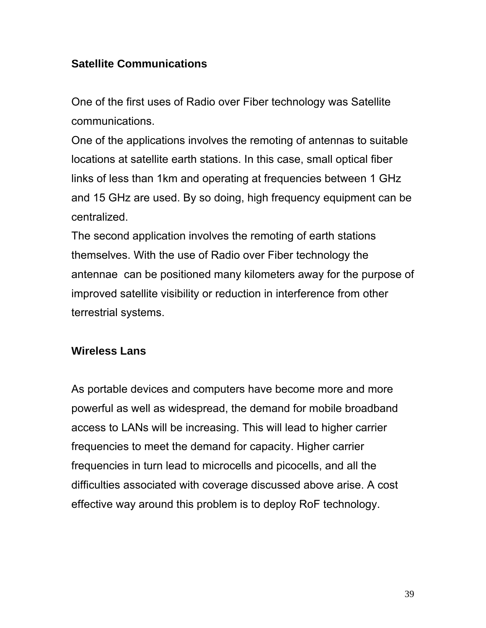### **Satellite Communications**

One of the first uses of Radio over Fiber technology was Satellite communications.

One of the applications involves the remoting of antennas to suitable locations at satellite earth stations. In this case, small optical fiber links of less than 1km and operating at frequencies between 1 GHz and 15 GHz are used. By so doing, high frequency equipment can be centralized.

The second application involves the remoting of earth stations themselves. With the use of Radio over Fiber technology the antennae can be positioned many kilometers away for the purpose of improved satellite visibility or reduction in interference from other terrestrial systems.

### **Wireless Lans**

As portable devices and computers have become more and more powerful as well as widespread, the demand for mobile broadband access to LANs will be increasing. This will lead to higher carrier frequencies to meet the demand for capacity. Higher carrier frequencies in turn lead to microcells and picocells, and all the difficulties associated with coverage discussed above arise. A cost effective way around this problem is to deploy RoF technology.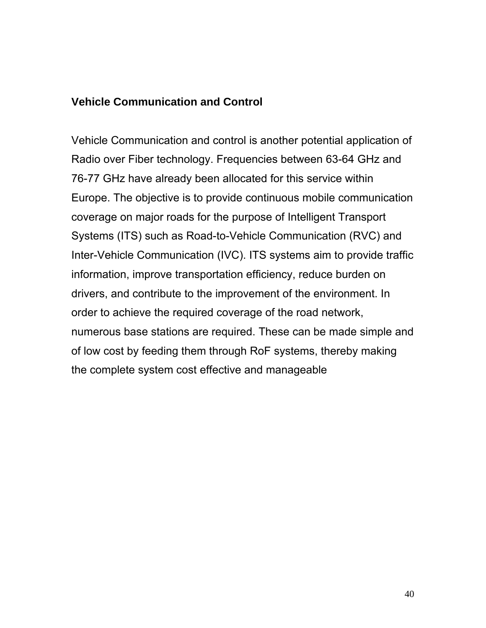#### **Vehicle Communication and Control**

Vehicle Communication and control is another potential application of Radio over Fiber technology. Frequencies between 63-64 GHz and 76-77 GHz have already been allocated for this service within Europe. The objective is to provide continuous mobile communication coverage on major roads for the purpose of Intelligent Transport Systems (ITS) such as Road-to-Vehicle Communication (RVC) and Inter-Vehicle Communication (IVC). ITS systems aim to provide traffic information, improve transportation efficiency, reduce burden on drivers, and contribute to the improvement of the environment. In order to achieve the required coverage of the road network, numerous base stations are required. These can be made simple and of low cost by feeding them through RoF systems, thereby making the complete system cost effective and manageable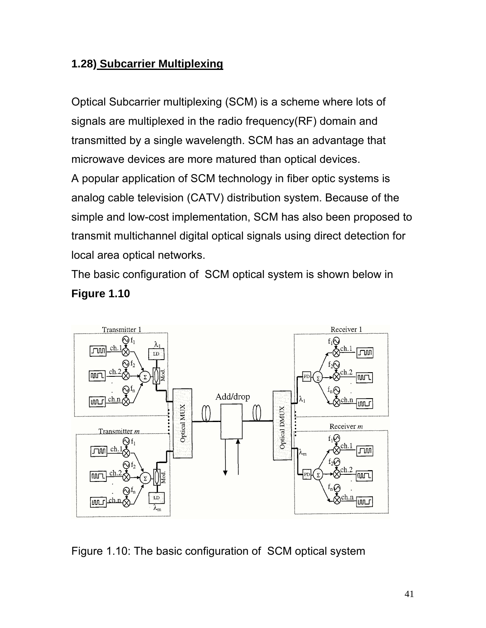## **1.28) Subcarrier Multiplexing**

Optical Subcarrier multiplexing (SCM) is a scheme where lots of signals are multiplexed in the radio frequency(RF) domain and transmitted by a single wavelength. SCM has an advantage that microwave devices are more matured than optical devices. A popular application of SCM technology in fiber optic systems is analog cable television (CATV) distribution system. Because of the simple and low-cost implementation, SCM has also been proposed to

transmit multichannel digital optical signals using direct detection for local area optical networks.

The basic configuration of SCM optical system is shown below in **Figure 1.10** 



Figure 1.10: The basic configuration of SCM optical system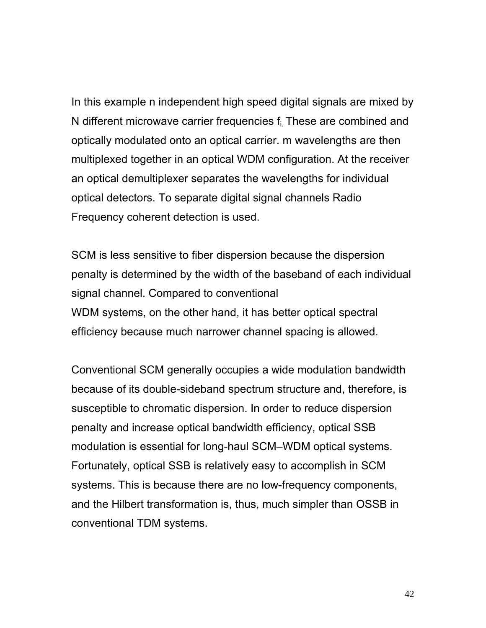In this example n independent high speed digital signals are mixed by N different microwave carrier frequencies f<sub>i.</sub> These are combined and optically modulated onto an optical carrier. m wavelengths are then multiplexed together in an optical WDM configuration. At the receiver an optical demultiplexer separates the wavelengths for individual optical detectors. To separate digital signal channels Radio Frequency coherent detection is used.

SCM is less sensitive to fiber dispersion because the dispersion penalty is determined by the width of the baseband of each individual signal channel. Compared to conventional WDM systems, on the other hand, it has better optical spectral efficiency because much narrower channel spacing is allowed.

Conventional SCM generally occupies a wide modulation bandwidth because of its double-sideband spectrum structure and, therefore, is susceptible to chromatic dispersion. In order to reduce dispersion penalty and increase optical bandwidth efficiency, optical SSB modulation is essential for long-haul SCM–WDM optical systems. Fortunately, optical SSB is relatively easy to accomplish in SCM systems. This is because there are no low-frequency components, and the Hilbert transformation is, thus, much simpler than OSSB in conventional TDM systems.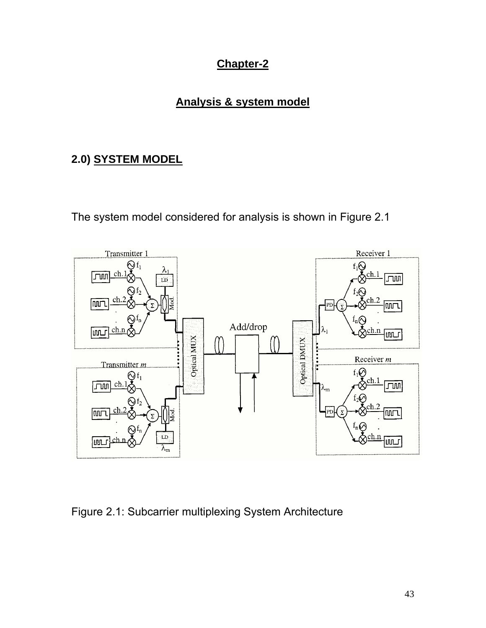## **Chapter-2**

# **Analysis & system model**

# **2.0) SYSTEM MODEL**

The system model considered for analysis is shown in Figure 2.1



Figure 2.1: Subcarrier multiplexing System Architecture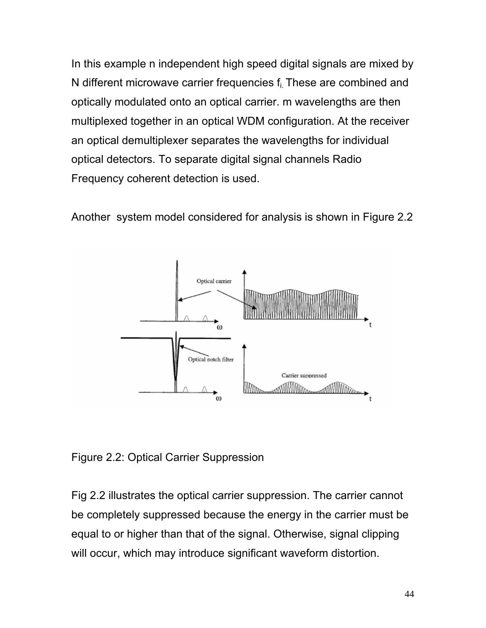In this example n independent high speed digital signals are mixed by N different microwave carrier frequencies f<sub>i</sub> These are combined and optically modulated onto an optical carrier. m wavelengths are then multiplexed together in an optical WDM configuration. At the receiver an optical demultiplexer separates the wavelengths for individual optical detectors. To separate digital signal channels Radio Frequency coherent detection is used.

Another system model considered for analysis is shown in Figure 2.2



Figure 2.2: Optical Carrier Suppression

Fig 2.2 illustrates the optical carrier suppression. The carrier cannot be completely suppressed because the energy in the carrier must be equal to or higher than that of the signal. Otherwise, signal clipping will occur, which may introduce significant waveform distortion.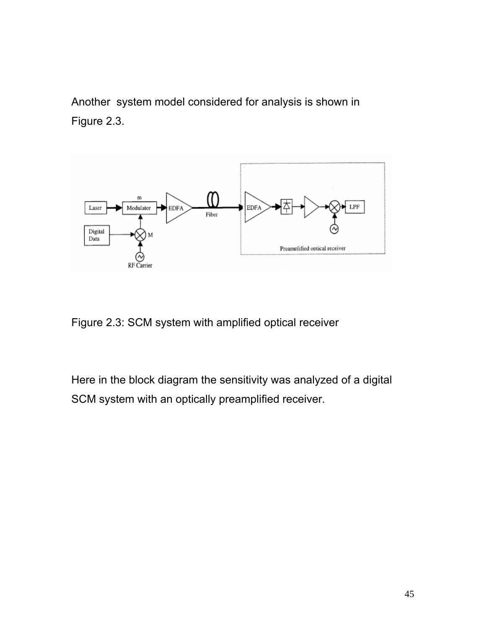Another system model considered for analysis is shown in Figure 2.3.



Figure 2.3: SCM system with amplified optical receiver

Here in the block diagram the sensitivity was analyzed of a digital SCM system with an optically preamplified receiver.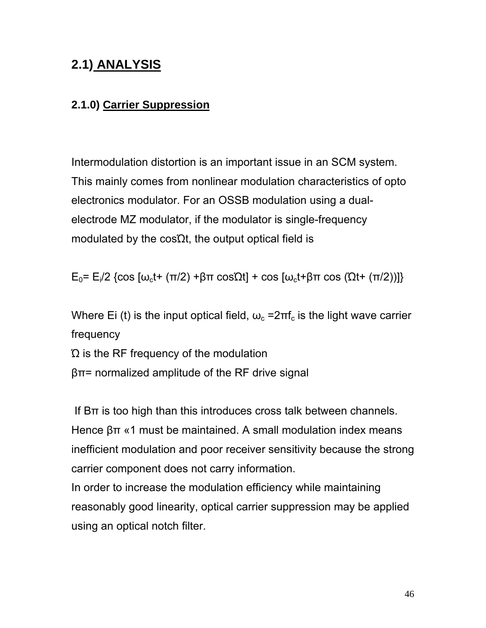# **2.1) ANALYSIS**

# **2.1.0) Carrier Suppression**

Intermodulation distortion is an important issue in an SCM system. This mainly comes from nonlinear modulation characteristics of opto electronics modulator. For an OSSB modulation using a dualelectrode MZ modulator, if the modulator is single-frequency modulated by the cos $\Omega t$ , the output optical field is

 $E_0$ =  $E_i$ /2 {cos  $\omega_c$ t+ (π/2) +βπ cosΩt] + cos  $\omega_c$ t+βπ cos (Ωt+ (π/2))]}

Where Ei (t) is the input optical field,  $\omega_c = 2\pi f_c$  is the light wave carrier frequency Ώ is the RF frequency of the modulation

βπ= normalized amplitude of the RF drive signal

If  $B\pi$  is too high than this introduces cross talk between channels. Hence βπ «1 must be maintained. A small modulation index means inefficient modulation and poor receiver sensitivity because the strong carrier component does not carry information.

In order to increase the modulation efficiency while maintaining reasonably good linearity, optical carrier suppression may be applied using an optical notch filter.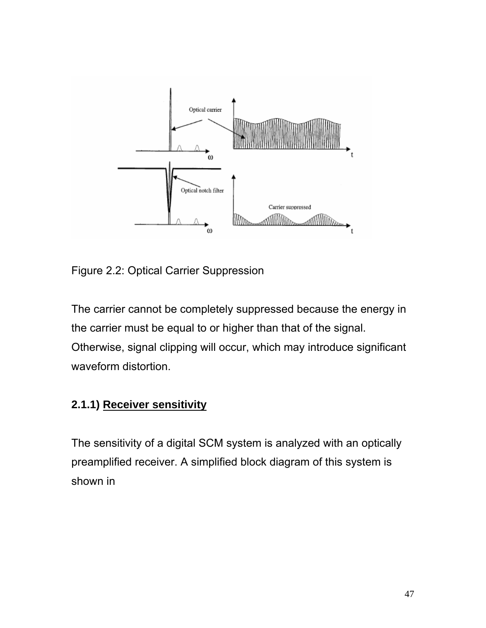

Figure 2.2: Optical Carrier Suppression

The carrier cannot be completely suppressed because the energy in the carrier must be equal to or higher than that of the signal. Otherwise, signal clipping will occur, which may introduce significant waveform distortion.

# **2.1.1) Receiver sensitivity**

The sensitivity of a digital SCM system is analyzed with an optically preamplified receiver. A simplified block diagram of this system is shown in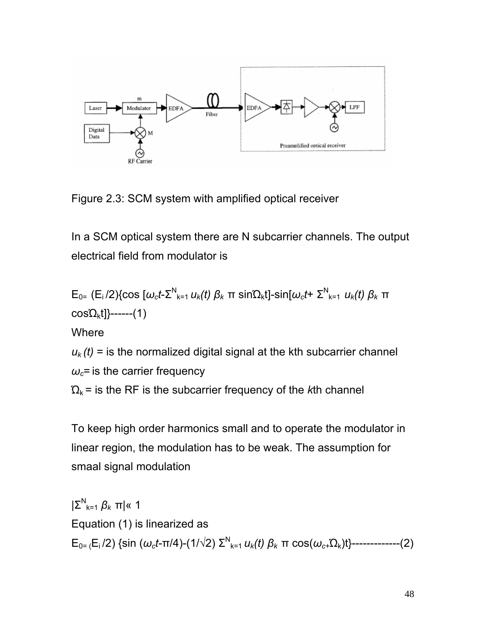

Figure 2.3: SCM system with amplified optical receiver

In a SCM optical system there are N subcarrier channels. The output electrical field from modulator is

$$
E_{0} = (E_i/2)\{\cos\left[\omega_c t - \sum_{k=1}^{N} u_k(t)\right] \beta_k \pi \sin\Omega_k t\} - \sin\omega_c t + \sum_{k=1}^{N} u_k(t)\beta_k \pi
$$
  
cos $\Omega_k t$ }-...(1)  
Where  
 $u_k(t) =$  is the normalized digital signal at the kth subcarrier channel  
 $\omega_c$  is the carrier frequency  
 $\Omega_k$  is the RF is the subcarrier frequency of the kth channel

To keep high order harmonics small and to operate the modulator in linear region, the modulation has to be weak. The assumption for smaal signal modulation

|Σ<sup>N</sup> k=1 *βk* π|« 1 Equation (1) is linearized as  $E_{0}$ <sub>= (</sub>E<sub>i</sub>/2) {sin (ω<sub>*ct*</sub>-π/4)-(1/√2) Σ<sup>N</sup><sub>k=1</sub>  $u_k(t)$  β<sub>k</sub> π cos(ω<sub>c+</sub>Ω<sub>k</sub>)t}--------------(2)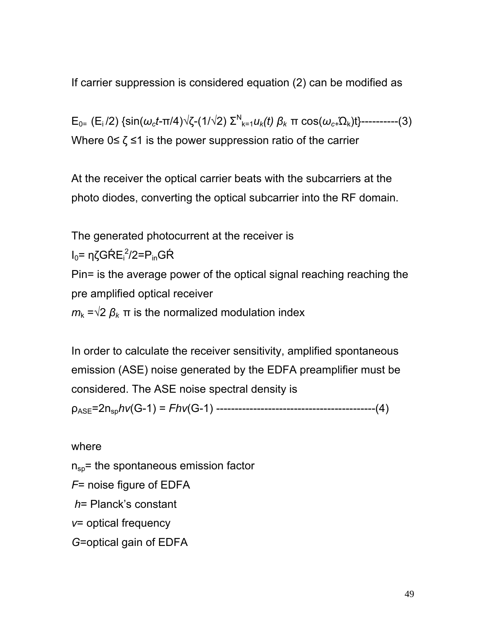If carrier suppression is considered equation (2) can be modified as

 $E_{0=}$  (E<sub>i</sub>/2) {sin(ω<sub>*ct*</sub>-π/4)√ζ-(1/√2) Σ<sup>N</sup><sub>k=1</sub>*u<sub>k</sub>(t)*  $β_k$  π cos(ω<sub>*c*+</sub>Ω<sub>k</sub>)t}-----------(3) Where  $0 \le \zeta \le 1$  is the power suppression ratio of the carrier

At the receiver the optical carrier beats with the subcarriers at the photo diodes, converting the optical subcarrier into the RF domain.

The generated photocurrent at the receiver is

l<sub>0</sub>= ηζGŔE<sub>i</sub><sup>2</sup>/2=P<sub>in</sub>GŔ

Pin= is the average power of the optical signal reaching reaching the pre amplified optical receiver

 $m_k = \sqrt{2} \beta_k \pi$  is the normalized modulation index

In order to calculate the receiver sensitivity, amplified spontaneous emission (ASE) noise generated by the EDFA preamplifier must be considered. The ASE noise spectral density is ρASE=2nsp*hv*(G-1) = *Fhv*(G-1) -------------------------------------------(4)

where

 $n_{\rm{so}}$  = the spontaneous emission factor

*F*= noise figure of EDFA

*h*= Planck's constant

*v*= optical frequency

*G*=optical gain of EDFA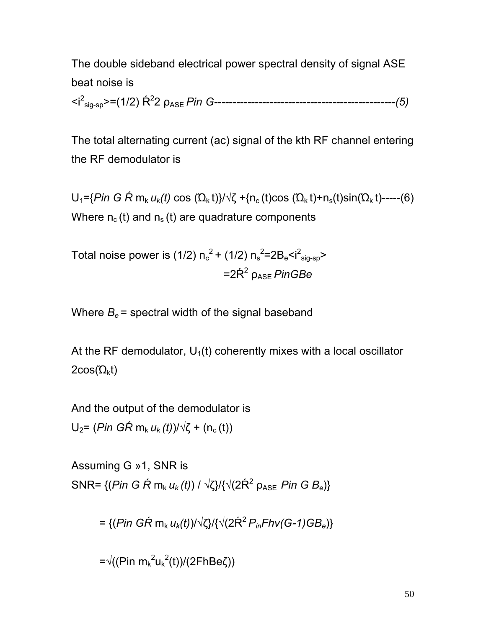The double sideband electrical power spectral density of signal ASE beat noise is

<i2 sig-sp>=(1/2) Ŕ<sup>2</sup> 2 ρASE *Pin G-------------------------------------------------(5)*

The total alternating current (ac) signal of the kth RF channel entering the RF demodulator is

 $U_1$ ={*Pin G Ŕ* m<sub>k</sub> *u<sub>k</sub>(t)* cos (Ώ<sub>k</sub> t)}/√ζ +{n<sub>c</sub> (t)cos (Ώ<sub>k</sub> t)+n<sub>s</sub>(t)sin(Ώ<sub>k</sub> t)-----(6) Where  $n_c(t)$  and  $n_s(t)$  are quadrature components

Total noise power is (1/2)  $n_c^2$  + (1/2)  $n_s^2$ =2B<sub>e</sub><i<sup>2</sup><sub>sig-sp</sub>>  $=2\dot{R}^2$   $\rho_{\text{ASE}}$  *PinGBe* 

Where  $B_e$  = spectral width of the signal baseband

At the RF demodulator,  $U_1(t)$  coherently mixes with a local oscillator  $2cos(\Omega_k t)$ 

And the output of the demodulator is  $U_2$ = (*Pin GŔ* m<sub>k</sub> *u<sub>k</sub>* (*t*))/√ζ + (n<sub>c</sub> (*t*))

Assuming G »1, SNR is SNR=  $\{(\text{Pin } G \text{ }\hat{R} \text{ } m_k u_k(t)) \mid \sqrt{\zeta} \}/\{\sqrt{2K^2} \text{ } \rho_{\text{ASE}} \text{ }\text{Pin } G \text{ } B_e\}$ 

 $= \{(Pin \ G\hat{R} \ m_k u_k(t))/\sqrt{\zeta} \} \{ \sqrt{\zeta^2 P_{in} F} h v(G-1) G B_e \}$ 

=√((Pin m<sub>k</sub><sup>2</sup>u<sub>k</sub><sup>2</sup>(t))/(2FhBeζ))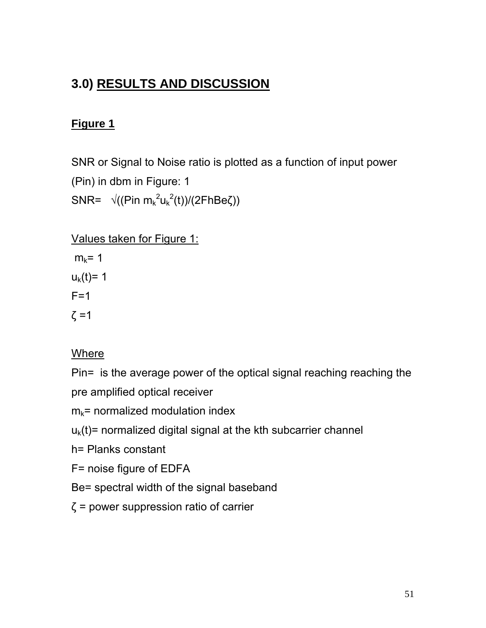# **3.0) RESULTS AND DISCUSSION**

## **Figure 1**

SNR or Signal to Noise ratio is plotted as a function of input power (Pin) in dbm in Figure: 1 SNR=  $\sqrt{(Pin m_k^2 u_k^2(t))/(2FhBe\zeta))}$ 

#### Values taken for Figure 1:

 $m_k$ = 1  $u_k(t) = 1$  $F=1$  $\zeta$  = 1

#### Where

Pin= is the average power of the optical signal reaching reaching the pre amplified optical receiver

 $m_k$ = normalized modulation index

 $u<sub>k</sub>(t)$  = normalized digital signal at the kth subcarrier channel

- h= Planks constant
- F= noise figure of EDFA
- Be= spectral width of the signal baseband
- $\zeta$  = power suppression ratio of carrier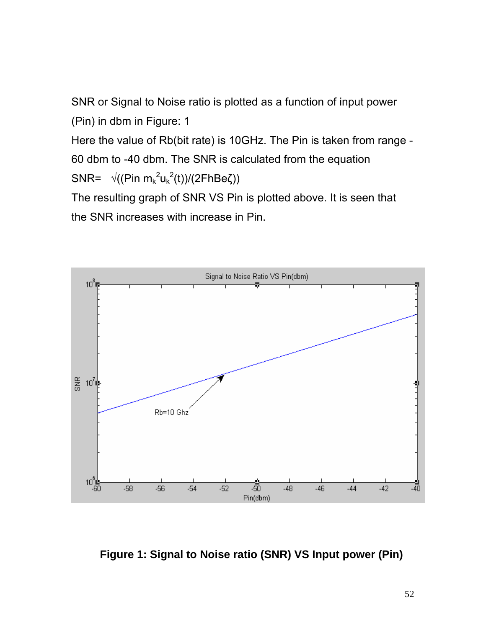SNR or Signal to Noise ratio is plotted as a function of input power (Pin) in dbm in Figure: 1

Here the value of Rb(bit rate) is 10GHz. The Pin is taken from range - 60 dbm to -40 dbm. The SNR is calculated from the equation SNR=  $\sqrt{(Pin m_k^2 u_k^2(t))/(2FhBe\zeta))}$ 

The resulting graph of SNR VS Pin is plotted above. It is seen that the SNR increases with increase in Pin.



**Figure 1: Signal to Noise ratio (SNR) VS Input power (Pin)**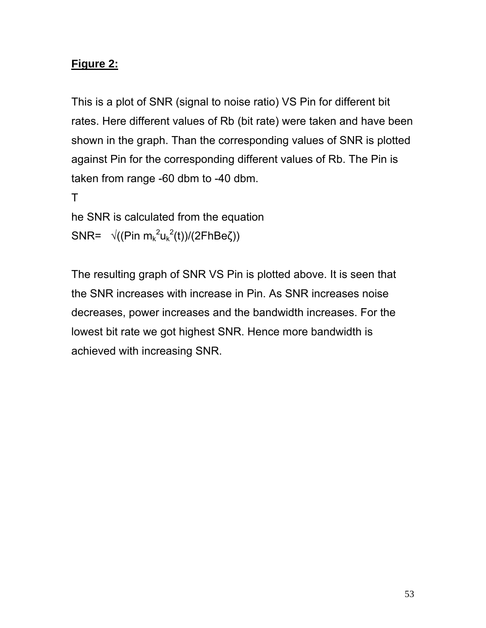### **Figure 2:**

This is a plot of SNR (signal to noise ratio) VS Pin for different bit rates. Here different values of Rb (bit rate) were taken and have been shown in the graph. Than the corresponding values of SNR is plotted against Pin for the corresponding different values of Rb. The Pin is taken from range -60 dbm to -40 dbm.

T

```
he SNR is calculated from the equation 
SNR= \sqrt{(Pin m_k^2 u_k^2(t))/(2FhBe\zeta))}
```
The resulting graph of SNR VS Pin is plotted above. It is seen that the SNR increases with increase in Pin. As SNR increases noise decreases, power increases and the bandwidth increases. For the lowest bit rate we got highest SNR. Hence more bandwidth is achieved with increasing SNR.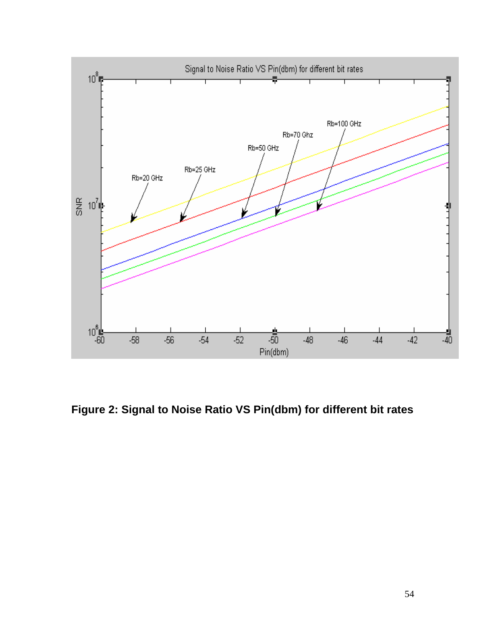

**Figure 2: Signal to Noise Ratio VS Pin(dbm) for different bit rates**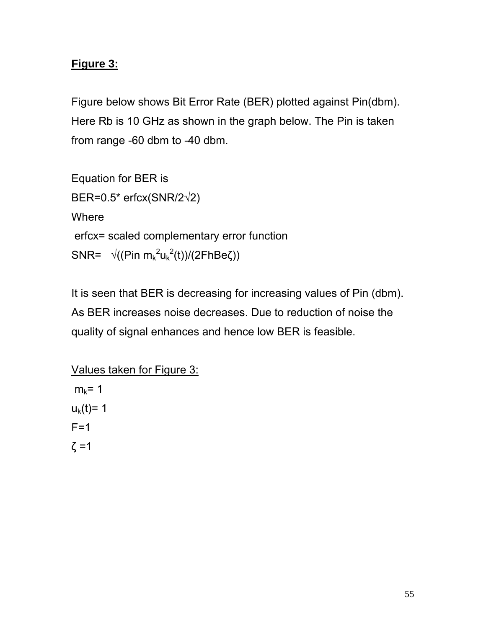# **Figure 3:**

Figure below shows Bit Error Rate (BER) plotted against Pin(dbm). Here Rb is 10 GHz as shown in the graph below. The Pin is taken from range -60 dbm to -40 dbm.

Equation for BER is BER=0.5\* erfcx(SNR/2√2) **Where**  erfcx= scaled complementary error function SNR=  $\sqrt{(Pin m_k^2 u_k^2(t))/(2FhBe\zeta))}$ 

It is seen that BER is decreasing for increasing values of Pin (dbm). As BER increases noise decreases. Due to reduction of noise the quality of signal enhances and hence low BER is feasible.

Values taken for Figure 3:  $m_k$ = 1  $u_k(t) = 1$  $F=1$  $ζ = 1$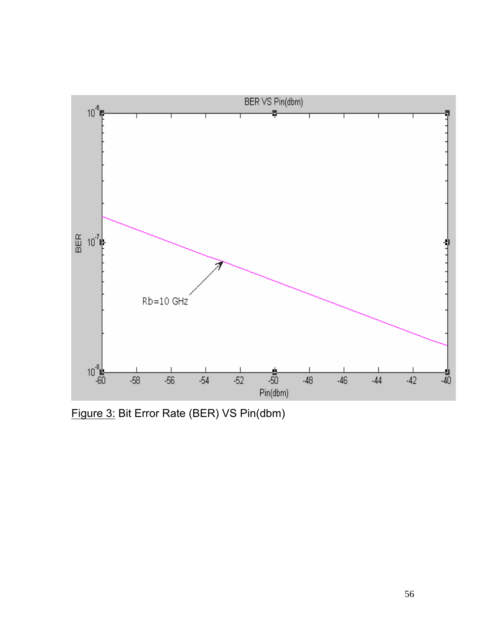

Figure 3: Bit Error Rate (BER) VS Pin(dbm)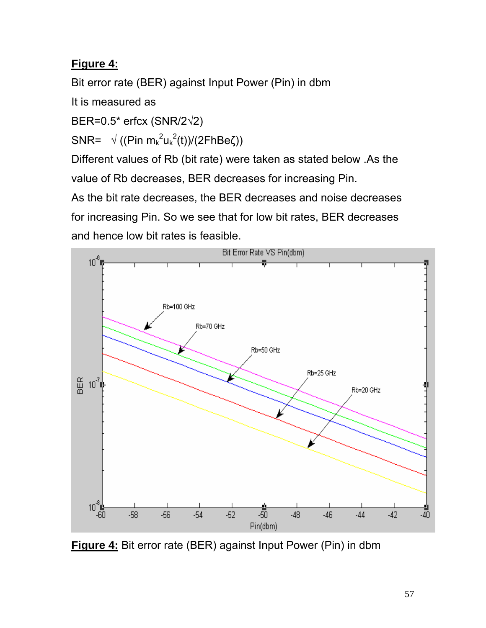# **Figure 4:**

Bit error rate (BER) against Input Power (Pin) in dbm

It is measured as

BER=0.5\* erfcx (SNR/2√2)

SNR=  $\sqrt{(Pin m_k^2 u_k^2(t))/(2FhBe\zeta))}$ 

Different values of Rb (bit rate) were taken as stated below .As the value of Rb decreases, BER decreases for increasing Pin.

As the bit rate decreases, the BER decreases and noise decreases for increasing Pin. So we see that for low bit rates, BER decreases and hence low bit rates is feasible.



**Figure 4:** Bit error rate (BER) against Input Power (Pin) in dbm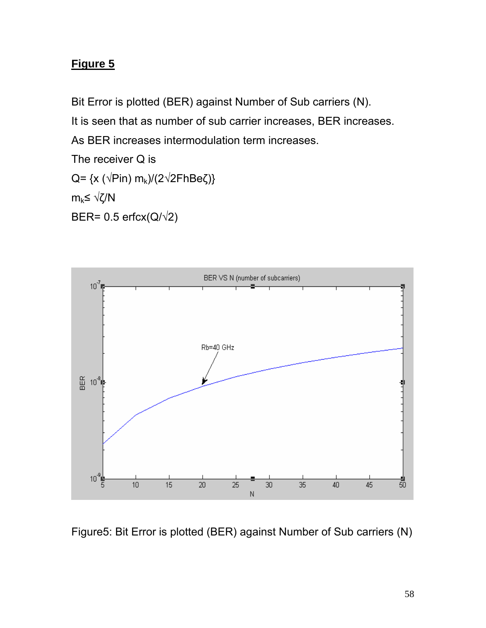# **Figure 5**

Bit Error is plotted (BER) against Number of Sub carriers (N).

It is seen that as number of sub carrier increases, BER increases.

As BER increases intermodulation term increases.

The receiver Q is

Q= {x ( $\sqrt{Pin}$ ) m<sub>k</sub>)/(2 $\sqrt{2F}$ hBeζ)}

 $m_k$ ≤ √ζ/N

BER=  $0.5$  erfcx( $Q/\sqrt{2}$ )



Figure5: Bit Error is plotted (BER) against Number of Sub carriers (N)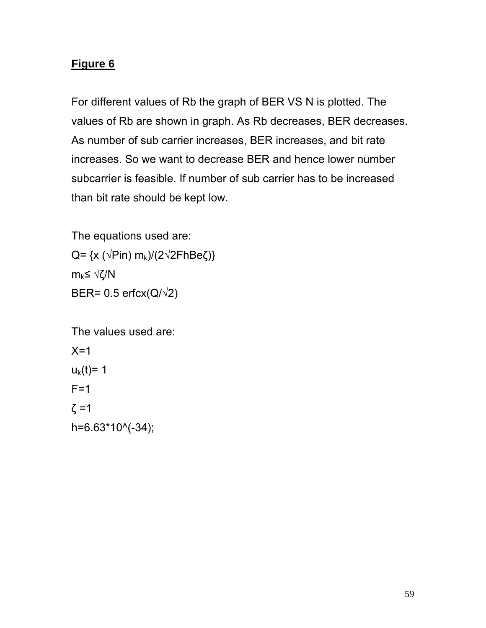## **Figure 6**

For different values of Rb the graph of BER VS N is plotted. The values of Rb are shown in graph. As Rb decreases, BER decreases. As number of sub carrier increases, BER increases, and bit rate increases. So we want to decrease BER and hence lower number subcarrier is feasible. If number of sub carrier has to be increased than bit rate should be kept low.

The equations used are: Q= {x ( $\sqrt{Pin}$ ) m<sub>k</sub> $/(2\sqrt{2FhBe\zeta})$ }  $m_k$ ≤ √ζ/N BER=  $0.5$  erfcx( $Q/\sqrt{2}$ )

The values used are:  $X=1$  $u_k(t) = 1$  $F=1$  $ζ = 1$ h=6.63\*10^(-34);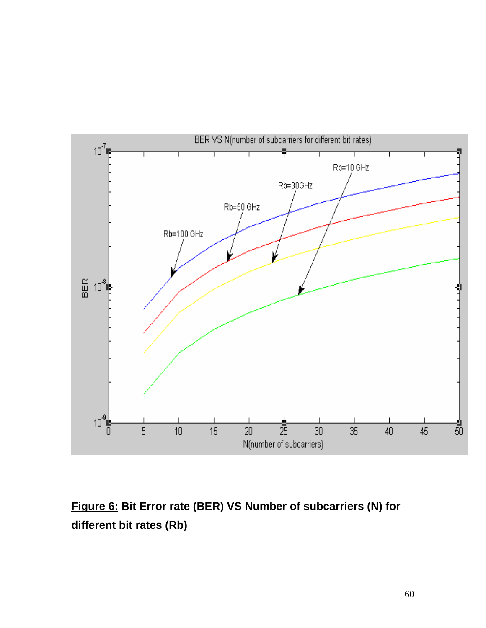

# **Figure 6: Bit Error rate (BER) VS Number of subcarriers (N) for different bit rates (Rb)**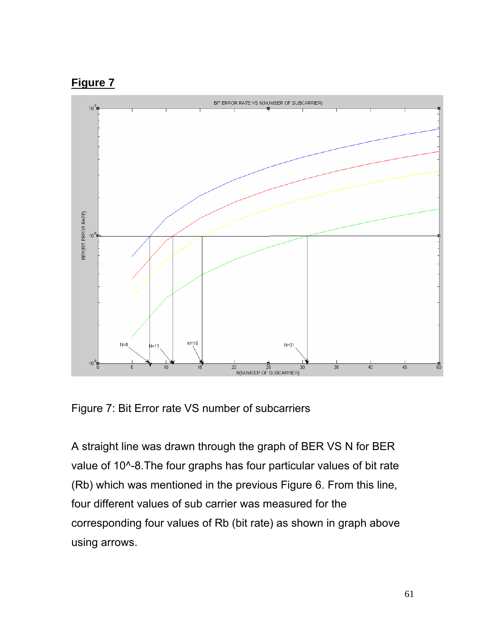



Figure 7: Bit Error rate VS number of subcarriers

A straight line was drawn through the graph of BER VS N for BER value of 10^-8. The four graphs has four particular values of bit rate (Rb) which was mentioned in the previous Figure 6. From this line, four different values of sub carrier was measured for the corresponding four values of Rb (bit rate) as shown in graph above using arrows.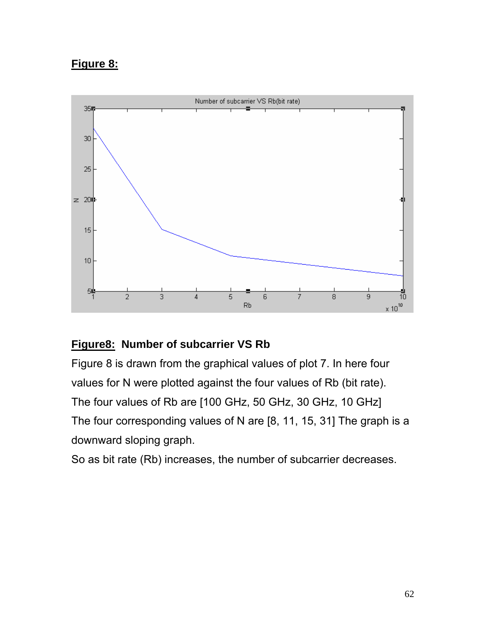### **Figure 8:**



### **Figure8: Number of subcarrier VS Rb**

Figure 8 is drawn from the graphical values of plot 7. In here four values for N were plotted against the four values of Rb (bit rate). The four values of Rb are [100 GHz, 50 GHz, 30 GHz, 10 GHz] The four corresponding values of N are [8, 11, 15, 31] The graph is a downward sloping graph.

So as bit rate (Rb) increases, the number of subcarrier decreases.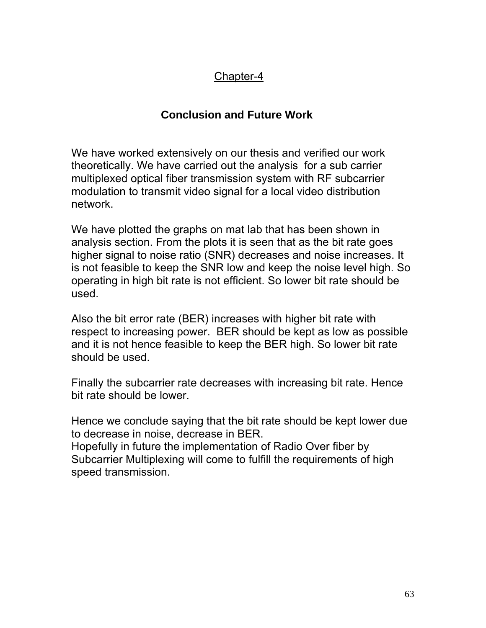### Chapter-4

## **Conclusion and Future Work**

We have worked extensively on our thesis and verified our work theoretically. We have carried out the analysis for a sub carrier multiplexed optical fiber transmission system with RF subcarrier modulation to transmit video signal for a local video distribution network.

We have plotted the graphs on mat lab that has been shown in analysis section. From the plots it is seen that as the bit rate goes higher signal to noise ratio (SNR) decreases and noise increases. It is not feasible to keep the SNR low and keep the noise level high. So operating in high bit rate is not efficient. So lower bit rate should be used.

Also the bit error rate (BER) increases with higher bit rate with respect to increasing power. BER should be kept as low as possible and it is not hence feasible to keep the BER high. So lower bit rate should be used.

Finally the subcarrier rate decreases with increasing bit rate. Hence bit rate should be lower.

Hence we conclude saying that the bit rate should be kept lower due to decrease in noise, decrease in BER. Hopefully in future the implementation of Radio Over fiber by Subcarrier Multiplexing will come to fulfill the requirements of high

speed transmission.